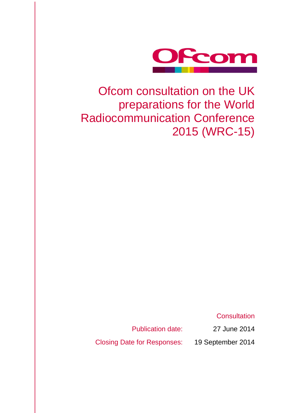

## Ofcom consultation on the UK preparations for the World Radiocommunication Conference 2015 (WRC-15)

**Consultation** 

Publication date: 27 June 2014

Closing Date for Responses: 19 September 2014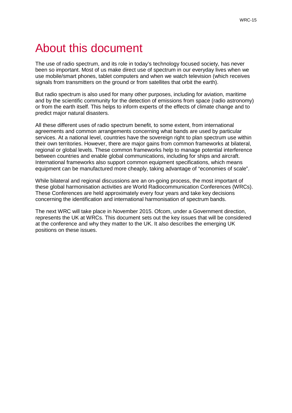## About this document

The use of radio spectrum, and its role in today's technology focused society, has never been so important. Most of us make direct use of spectrum in our everyday lives when we use mobile/smart phones, tablet computers and when we watch television (which receives signals from transmitters on the ground or from satellites that orbit the earth).

But radio spectrum is also used for many other purposes, including for aviation, maritime and by the scientific community for the detection of emissions from space (radio astronomy) or from the earth itself. This helps to inform experts of the effects of climate change and to predict major natural disasters.

All these different uses of radio spectrum benefit, to some extent, from international agreements and common arrangements concerning what bands are used by particular services. At a national level, countries have the sovereign right to plan spectrum use within their own territories. However, there are major gains from common frameworks at bilateral, regional or global levels. These common frameworks help to manage potential interference between countries and enable global communications, including for ships and aircraft. International frameworks also support common equipment specifications, which means equipment can be manufactured more cheaply, taking advantage of "economies of scale".

While bilateral and regional discussions are an on-going process, the most important of these global harmonisation activities are World Radiocommunication Conferences (WRCs). These Conferences are held approximately every four years and take key decisions concerning the identification and international harmonisation of spectrum bands.

The next WRC will take place in November 2015. Ofcom, under a Government direction, represents the UK at WRCs. This document sets out the key issues that will be considered at the conference and why they matter to the UK. It also describes the emerging UK positions on these issues.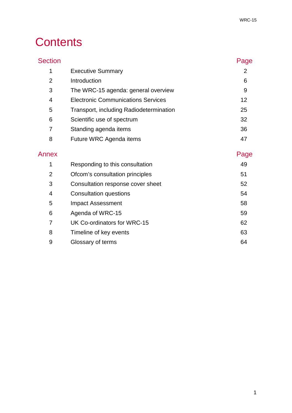## **Contents**

| <b>Section</b> |                                           | Page           |
|----------------|-------------------------------------------|----------------|
| 1              | <b>Executive Summary</b>                  | $\overline{2}$ |
| $\overline{2}$ | Introduction                              | 6              |
| 3              | The WRC-15 agenda: general overview       | 9              |
| 4              | <b>Electronic Communications Services</b> | 12             |
| 5              | Transport, including Radiodetermination   | 25             |
| 6              | Scientific use of spectrum                | 32             |
| 7              | Standing agenda items                     | 36             |
| 8              | Future WRC Agenda items                   | 47             |
| Annex          |                                           | Page           |
| 1              | Responding to this consultation           | 49             |
| $\overline{2}$ | Ofcom's consultation principles           | 51             |
| 3              | Consultation response cover sheet         | 52             |
| 4              | <b>Consultation questions</b>             | 54             |
| 5              | <b>Impact Assessment</b>                  | 58             |
| 6              | Agenda of WRC-15                          | 59             |
| $\overline{7}$ | UK Co-ordinators for WRC-15               | 62             |
| 8              | Timeline of key events                    | 63             |
| 9              | Glossary of terms                         | 64             |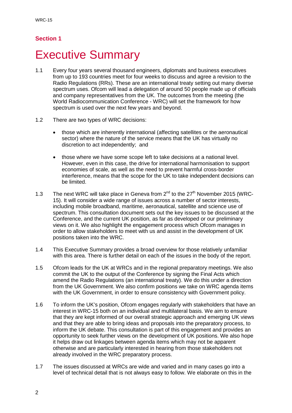### **Section 1**

## <span id="page-4-0"></span>**Executive Summary**

- 1.1 Every four years several thousand engineers, diplomats and business executives from up to 193 countries meet for four weeks to discuss and agree a revision to the Radio Regulations (RRs). These are an international treaty setting out many diverse spectrum uses. Ofcom will lead a delegation of around 50 people made up of officials and company representatives from the UK. The outcomes from the meeting (the World Radiocommunication Conference - WRC) will set the framework for how spectrum is used over the next few years and beyond.
- 1.2 There are two types of WRC decisions:
	- those which are inherently international (affecting satellites or the aeronautical sector) where the nature of the service means that the UK has virtually no discretion to act independently; and
	- those where we have some scope left to take decisions at a national level. However, even in this case, the drive for international harmonisation to support economies of scale, as well as the need to prevent harmful cross-border interference, means that the scope for the UK to take independent decisions can be limited.
- 1.3 The next WRC will take place in Geneva from  $2^{nd}$  to the  $27<sup>th</sup>$  November 2015 (WRC-15). It will consider a wide range of issues across a number of sector interests, including mobile broadband, maritime, aeronautical, satellite and science use of spectrum. This consultation document sets out the key issues to be discussed at the Conference, and the current UK position, as far as developed or our preliminary views on it. We also highlight the engagement process which Ofcom manages in order to allow stakeholders to meet with us and assist in the development of UK positions taken into the WRC.
- 1.4 This Executive Summary provides a broad overview for those relatively unfamiliar with this area. There is further detail on each of the issues in the body of the report.
- 1.5 Ofcom leads for the UK at WRCs and in the regional preparatory meetings. We also commit the UK to the output of the Conference by signing the Final Acts which amend the Radio Regulations (an international treaty). We do this under a direction from the UK Government. We also confirm positions we take on WRC agenda items with the UK Government, in order to ensure consistency with Government policy.
- 1.6 To inform the UK's position, Ofcom engages regularly with stakeholders that have an interest in WRC-15 both on an individual and multilateral basis. We aim to ensure that they are kept informed of our overall strategic approach and emerging UK views and that they are able to bring ideas and proposals into the preparatory process, to inform the UK debate. This consultation is part of this engagement and provides an opportunity to seek further views on the development of UK positions. We also hope it helps draw out linkages between agenda items which may not be apparent otherwise and are particularly interested in hearing from those stakeholders not already involved in the WRC preparatory process.
- 1.7 The issues discussed at WRCs are wide and varied and in many cases go into a level of technical detail that is not always easy to follow. We elaborate on this in the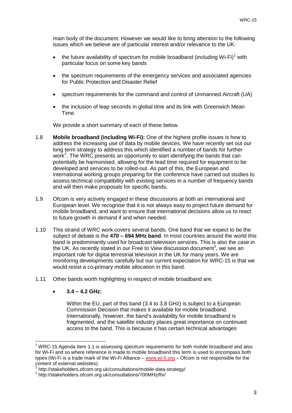main body of the document. However we would like to bring attention to the following issues which we believe are of particular interest and/or relevance to the UK:

- the future availability of spectrum for mobile broadband (including Wi-Fi)<sup>[1](#page-5-0)</sup> with particular focus on some key bands
- the spectrum requirements of the emergency services and associated agencies for Public Protection and Disaster Relief
- spectrum requirements for the command and control of Unmanned Aircraft (UA)
- the inclusion of leap seconds in global time and its link with Greenwich Mean Time.

We provide a short summary of each of these below.

- 1.8 **Mobile broadband (including Wi-Fi):** One of the highest profile issues is how to address the increasing use of data by mobile devices. We have recently set out our long term strategy to address this which identified a number of bands for further work<sup>[2](#page-5-1)</sup>. The WRC presents an opportunity to start identifying the bands that can potentially be harmonised, allowing for the lead time required for equipment to be developed and services to be rolled-out. As part of this, the European and international working groups preparing for the conference have carried out studies to assess technical compatibility with existing services in a number of frequency bands and will then make proposals for specific bands.
- 1.9 Ofcom is very actively engaged in these discussions at both an international and European level. We recognise that it is not always easy to project future demand for mobile broadband, and want to ensure that international decisions allow us to react to future growth in demand if and when needed.
- 1.10 This strand of WRC work covers several bands. One band that we expect to be the subject of debate is the **470 – 694 MHz band**. In most countries around the world this band is predominantly used for broadcast television services. This is also the case in the UK. As recently stated in our Free to View discussion document<sup>[3](#page-5-2)</sup>, we see an important role for digital terrestrial television in the UK for many years. We are monitoring developments carefully but our current expectation for WRC-15 is that we would resist a co-primary mobile allocation in this band.
- 1.11 Other bands worth highlighting in respect of mobile broadband are;
	- **3.4 – 4.2 GHz:**

 $\overline{a}$ 

Within the EU, part of this band (3.4 to 3.8 GHz) is subject to a European Commission Decision that makes it available for mobile broadband. Internationally, however, the band's availability for mobile broadband is fragmented, and the satellite industry places great importance on continued access to the band. This is because it has certain technical advantages

<span id="page-5-0"></span> $<sup>1</sup>$  WRC-15 Agenda Item 1.1 is assessing spectrum requirements for both mobile broadband and also</sup> for Wi-Fi and so where reference is made to mobile broadband this term is used to encompass both types (Wi-Fi is a trade mark of the Wi-Fi Alliance – [www.wi-fi.org](http://www.wi-fi.org/) – Ofcom is not responsible for the content of external websites).

<span id="page-5-1"></span><sup>2</sup> http://stakeholders.ofcom.org.uk/consultations/mobile-data-strategy/<br><sup>3</sup> http://stakeholders.ofcom.org.uk/consultations/700MHz/ftv/

<span id="page-5-2"></span>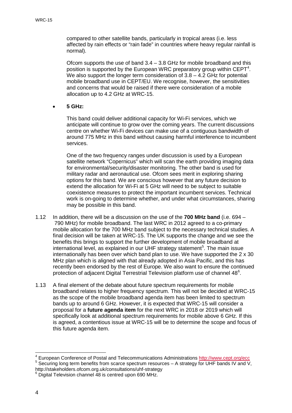compared to other satellite bands, particularly in tropical areas (i.e. less affected by rain effects or "rain fade" in countries where heavy regular rainfall is normal).

Ofcom supports the use of band  $3.4 - 3.8$  GHz for mobile broadband and this position is supported by the European WRC preparatory group within  $CEPT<sup>4</sup>$  $CEPT<sup>4</sup>$  $CEPT<sup>4</sup>$ . We also support the longer term consideration of  $3.8 - 4.2$  GHz for potential mobile broadband use in CEPT/EU. We recognise, however, the sensitivities and concerns that would be raised if there were consideration of a mobile allocation up to 4.2 GHz at WRC-15.

• **5 GHz:**

This band could deliver additional capacity for Wi-Fi services, which we anticipate will continue to grow over the coming years. The current discussions centre on whether Wi-Fi devices can make use of a contiguous bandwidth of around 775 MHz in this band without causing harmful interference to incumbent services.

One of the two frequency ranges under discussion is used by a European satellite network "Copernicus" which will scan the earth providing imaging data for environmental/security/disaster monitoring. The other band is used for military radar and aeronautical use. Ofcom sees merit in exploring sharing options for this band. We are conscious however that any future decision to extend the allocation for Wi-Fi at 5 GHz will need to be subject to suitable coexistence measures to protect the important incumbent services. Technical work is on-going to determine whether, and under what circumstances, sharing may be possible in this band.

- 1.12 In addition, there will be a discussion on the use of the **700 MHz band** (i.e. 694 790 MHz) for mobile broadband. The last WRC in 2012 agreed to a co-primary mobile allocation for the 700 MHz band subject to the necessary technical studies. A final decision will be taken at WRC-15. The UK supports the change and we see the benefits this brings to support the further development of mobile broadband at international level, as explained in our UHF strategy statement<sup>[5](#page-6-1)</sup>. The main issue internationally has been over which band plan to use. We have supported the 2 x 30 MHz plan which is aligned with that already adopted in Asia Pacific, and this has recently been endorsed by the rest of Europe. We also want to ensure the continued protection of adjacent Digital Terrestrial Television platform use of channel  $48^{\circ}$ .
- 1.13 A final element of the debate about future spectrum requirements for mobile broadband relates to higher frequency spectrum. This will not be decided at WRC-15 as the scope of the mobile broadband agenda item has been limited to spectrum bands up to around 6 GHz. However, it is expected that WRC-15 will consider a proposal for a **future agenda item** for the next WRC in 2018 or 2019 which will specifically look at additional spectrum requirements for mobile above 6 GHz. If this is agreed, a contentious issue at WRC-15 will be to determine the scope and focus of this future agenda item.

 $\overline{a}$ 

<span id="page-6-0"></span><sup>&</sup>lt;sup>4</sup> European Conference of Postal and Telecommunications Administrations  $\frac{http://www.cept.org/ecc}{http://www.cept.org/ecc}$ <sup>5</sup> Securing long term benefits from scarce spectrum resources – A strategy for UHF bands IV and V,

<span id="page-6-1"></span>http://stakeholders.ofcom.org.uk/consultations/uhf-strategy <sup>6</sup> Digital Television channel 48 is centred upon 690 MHz.

<span id="page-6-2"></span>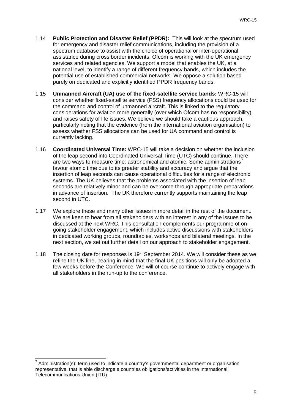- 1.14 **Public Protection and Disaster Relief (PPDR):** This will look at the spectrum used for emergency and disaster relief communications, including the provision of a spectrum database to assist with the choice of operational or inter-operational assistance during cross border incidents. Ofcom is working with the UK emergency services and related agencies. We support a model that enables the UK, at a national level, to identify a range of different frequency bands, which includes the potential use of established commercial networks. We oppose a solution based purely on dedicated and explicitly identified PPDR frequency bands.
- 1.15 **Unmanned Aircraft (UA) use of the fixed-satellite service bands:** WRC-15 will consider whether fixed-satellite service (FSS) frequency allocations could be used for the command and control of unmanned aircraft. This is linked to the regulatory considerations for aviation more generally (over which Ofcom has no responsibility), and raises safety of life issues. We believe we should take a cautious approach, particularly noting that the evidence (from the international aviation organisation) to assess whether FSS allocations can be used for UA command and control is currently lacking.
- 1.16 **Coordinated Universal Time:** WRC-15 will take a decision on whether the inclusion of the leap second into Coordinated Universal Time (UTC) should continue. There are two ways to measure time: astronomical and atomic. Some administrations<sup>[7](#page-7-0)</sup> favour atomic time due to its greater stability and accuracy and argue that the insertion of leap seconds can cause operational difficulties for a range of electronic systems. The UK believes that the problems associated with the insertion of leap seconds are relatively minor and can be overcome through appropriate preparations in advance of insertion. The UK therefore currently supports maintaining the leap second in UTC.
- 1.17 We explore these and many other issues in more detail in the rest of the document. We are keen to hear from all stakeholders with an interest in any of the issues to be discussed at the next WRC. This consultation complements our programme of ongoing stakeholder engagement, which includes active discussions with stakeholders in dedicated working groups, roundtables, workshops and bilateral meetings. In the next section, we set out further detail on our approach to stakeholder engagement.
- 1.18 The closing date for responses is  $19<sup>th</sup>$  September 2014. We will consider these as we refine the UK line, bearing in mind that the final UK positions will only be adopted a few weeks before the Conference. We will of course continue to actively engage with all stakeholders in the run-up to the conference.

<span id="page-7-0"></span> $7$  Administration(s): term used to indicate a country's governmental department or organisation representative, that is able discharge a countries obligations/activities in the International Telecommunications Union (ITU).  $\overline{a}$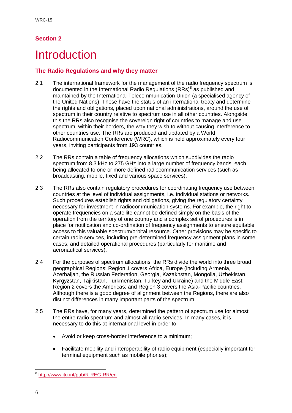### **Section 2**

## <span id="page-8-0"></span>**Introduction**

### **The Radio Regulations and why they matter**

- 2.1 The international framework for the management of the radio frequency spectrum is documented in the International Radio Regulations  $(RRs)^8$  $(RRs)^8$  as published and maintained by the International Telecommunication Union (a specialised agency of the United Nations). These have the status of an international treaty and determine the rights and obligations, placed upon national administrations, around the use of spectrum in their country relative to spectrum use in all other countries. Alongside this the RRs also recognise the sovereign right of countries to manage and use spectrum, within their borders, the way they wish to without causing interference to other countries use. The RRs are produced and updated by a World Radiocommunication Conference (WRC), which is held approximately every four years, inviting participants from 193 countries.
- 2.2 The RRs contain a table of frequency allocations which subdivides the radio spectrum from 8.3 kHz to 275 GHz into a large number of frequency bands, each being allocated to one or more defined radiocommunication services (such as broadcasting, mobile, fixed and various space services).
- 2.3 The RRs also contain regulatory procedures for coordinating frequency use between countries at the level of individual assignments, i.e. individual stations or networks. Such procedures establish rights and obligations, giving the regulatory certainty necessary for investment in radiocommunication systems. For example, the right to operate frequencies on a satellite cannot be defined simply on the basis of the operation from the territory of one country and a complex set of procedures is in place for notification and co-ordination of frequency assignments to ensure equitable access to this valuable spectrum/orbital resource. Other provisions may be specific to certain radio services, including pre-determined frequency assignment plans in some cases, and detailed operational procedures (particularly for maritime and aeronautical services).
- 2.4 For the purposes of spectrum allocations, the RRs divide the world into three broad geographical Regions: Region 1 covers Africa, Europe (including Armenia, Azerbaijan, the Russian Federation, Georgia, Kazakhstan, Mongolia, Uzbekistan, Kyrgyzstan, Tajikistan, Turkmenistan, Turkey and Ukraine) and the Middle East; Region 2 covers the Americas; and Region 3 covers the Asia-Pacific countries. Although there is a good degree of alignment between the Regions, there are also distinct differences in many important parts of the spectrum.
- 2.5 The RRs have, for many years, determined the pattern of spectrum use for almost the entire radio spectrum and almost all radio services. In many cases, it is necessary to do this at international level in order to:
	- Avoid or keep cross-border interference to a minimum;
	- Facilitate mobility and interoperability of radio equipment (especially important for terminal equipment such as mobile phones);

<span id="page-8-1"></span><sup>8</sup> <http://www.itu.int/pub/R-REG-RR/en>  $\overline{a}$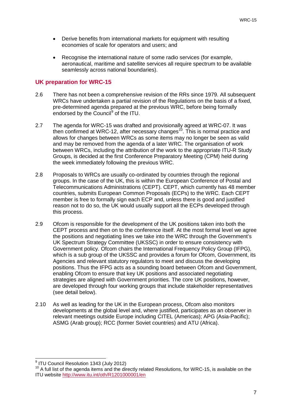- Derive benefits from international markets for equipment with resulting economies of scale for operators and users; and
- Recognise the international nature of some radio services (for example, aeronautical, maritime and satellite services all require spectrum to be available seamlessly across national boundaries).

#### **UK preparation for WRC-15**

- 2.6 There has not been a comprehensive revision of the RRs since 1979. All subsequent WRCs have undertaken a partial revision of the Regulations on the basis of a fixed, pre-determined agenda prepared at the previous WRC, before being formally endorsed by the Council<sup>[9](#page-9-0)</sup> of the ITU.
- 2.7 The agenda for WRC-15 was drafted and provisionally agreed at WRC-07. It was then confirmed at WRC-12, after necessary changes<sup>[10](#page-9-1)</sup>. This is normal practice and allows for changes between WRCs as some items may no longer be seen as valid and may be removed from the agenda of a later WRC. The organisation of work between WRCs, including the attribution of the work to the appropriate ITU-R Study Groups, is decided at the first Conference Preparatory Meeting (CPM) held during the week immediately following the previous WRC.
- 2.8 Proposals to WRCs are usually co-ordinated by countries through the regional groups. In the case of the UK, this is within the European Conference of Postal and Telecommunications Administrations (CEPT). CEPT, which currently has 48 member countries, submits European Common Proposals (ECPs) to the WRC. Each CEPT member is free to formally sign each ECP and, unless there is good and justified reason not to do so, the UK would usually support all the ECPs developed through this process.
- 2.9 Ofcom is responsible for the development of the UK positions taken into both the CEPT process and then on to the conference itself. At the most formal level we agree the positions and negotiating lines we take into the WRC through the Government's UK Spectrum Strategy Committee (UKSSC) in order to ensure consistency with Government policy. Ofcom chairs the International Frequency Policy Group (IFPG), which is a sub group of the UKSSC and provides a forum for Ofcom, Government, its Agencies and relevant statutory regulators to meet and discuss the developing positions. Thus the IFPG acts as a sounding board between Ofcom and Government, enabling Ofcom to ensure that key UK positions and associated negotiating strategies are aligned with Government priorities. The core UK positions, however, are developed through four working groups that include stakeholder representatives (see detail below).
- 2.10 As well as leading for the UK in the European process, Ofcom also monitors developments at the global level and, where justified, participates as an observer in relevant meetings outside Europe including CITEL (Americas); APG (Asia-Pacific); ASMG (Arab group); RCC (former Soviet countries) and ATU (Africa).

<sup>&</sup>lt;sup>9</sup> ITU Council Resolution 1343 (July 2012)  $\overline{a}$ 

<span id="page-9-1"></span><span id="page-9-0"></span><sup>&</sup>lt;sup>10</sup> A full list of the agenda items and the directly related Resolutions, for WRC-15, is available on the ITU website<http://www.itu.int/oth/R1201000001/en>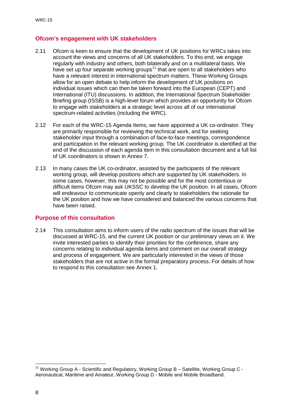#### **Ofcom's engagement with UK stakeholders**

- 2.11 Ofcom is keen to ensure that the development of UK positions for WRCs takes into account the views and concerns of all UK stakeholders. To this end, we engage regularly with industry and others, both bilaterally and on a multilateral basis. We have set up four separate working groups<sup>[11](#page-10-0)</sup> that are open to all stakeholders who have a relevant interest in international spectrum matters. These Working Groups allow for an open debate to help inform the development of UK positions on individual issues which can then be taken forward into the European (CEPT) and International (ITU) discussions. In addition, the International Spectrum Stakeholder Briefing group (ISSB) is a high-level forum which provides an opportunity for Ofcom to engage with stakeholders at a strategic level across all of our international spectrum-related activities (including the WRC).
- 2.12 For each of the WRC-15 Agenda Items, we have appointed a UK co-ordinator. They are primarily responsible for reviewing the technical work, and for seeking stakeholder input through a combination of face-to-face meetings, correspondence and participation in the relevant working group. The UK coordinator is identified at the end of the discussion of each agenda item in this consultation document and a full list of UK coordinators is shown in Annex 7.
- 2.13 In many cases the UK co-ordinator, assisted by the participants of the relevant working group, will develop positions which are supported by UK stakeholders. In some cases, however, this may not be possible and for the most contentious or difficult items Ofcom may ask UKSSC to develop the UK position. In all cases, Ofcom will endeavour to communicate openly and clearly to stakeholders the rationale for the UK position and how we have considered and balanced the various concerns that have been raised.

#### **Purpose of this consultation**

2.14 This consultation aims to inform users of the radio spectrum of the issues that will be discussed at WRC-15, and the current UK position or our preliminary views on it. We invite interested parties to identify their priorities for the conference, share any concerns relating to individual agenda items and comment on our overall strategy and process of engagement. We are particularly interested in the views of those stakeholders that are not active in the formal preparatory process. For details of how to respond to this consultation see Annex 1.

<span id="page-10-0"></span><sup>&</sup>lt;sup>11</sup> Working Group A - Scientific and Regulatory, Working Group B - Satellite, Working Group C -Aeronautical, Maritime and Amateur, Working Group D - Mobile and Mobile Broadband.  $\overline{a}$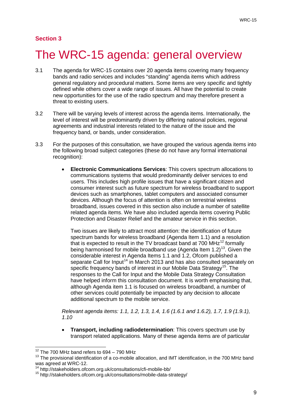#### **Section 3**

## <span id="page-11-0"></span>The WRC-15 agenda: general overview

- 3.1 The agenda for WRC-15 contains over 20 agenda items covering many frequency bands and radio services and includes "standing" agenda items which address general regulatory and procedural matters. Some items are very specific and tightly defined while others cover a wide range of issues. All have the potential to create new opportunities for the use of the radio spectrum and may therefore present a threat to existing users.
- 3.2 There will be varying levels of interest across the agenda items. Internationally, the level of interest will be predominantly driven by differing national policies, regional agreements and industrial interests related to the nature of the issue and the frequency band, or bands, under consideration.
- 3.3 For the purposes of this consultation, we have grouped the various agenda items into the following broad subject categories (these do not have any formal international recognition):
	- **Electronic Communications Services**: This covers spectrum allocations to communications systems that would predominantly deliver services to end users. This includes high profile issues that have a significant citizen and consumer interest such as future spectrum for wireless broadband to support devices such as smartphones, tablet computers and associated consumer devices. Although the focus of attention is often on terrestrial wireless broadband, issues covered in this section also include a number of satellite related agenda items. We have also included agenda items covering Public Protection and Disaster Relief and the amateur service in this section.

Two issues are likely to attract most attention: the identification of future spectrum bands for wireless broadband (Agenda Item 1.1) and a resolution that is expected to result in the TV broadcast band at 700 MHz $^{12}$  $^{12}$  $^{12}$  formally being harmonised for mobile broadband use (Agenda Item  $1.2$ )<sup>13</sup>. Given the considerable interest in Agenda Items 1.1 and 1.2, Ofcom published a separate Call for Input<sup>[14](#page-11-3)</sup> in March 2013 and has also consulted separately on specific frequency bands of interest in our Mobile Data Strategy<sup>[15](#page-11-4)</sup>. The responses to the Call for Input and the Mobile Data Strategy Consultation have helped inform this consultation document. It is worth emphasising that, although Agenda item 1.1 is focused on wireless broadband, a number of other services could potentially be impacted by any decision to allocate additional spectrum to the mobile service.

*Relevant agenda items: 1.1, 1.2, 1.3, 1.4, 1.6 (1.6.1 and 1.6.2), 1.7, 1.9 (1.9.1), 1.10*

• **Transport, including radiodetermination**: This covers spectrum use by transport related applications. Many of these agenda items are of particular

 $12$  The 700 MHz band refers to 694 – 790 MHz  $\overline{a}$ 

<span id="page-11-2"></span><span id="page-11-1"></span><sup>&</sup>lt;sup>13</sup> The provisional identification of a co-mobile allocation, and IMT identification, in the 700 MHz band was agreed at WRC-12.

<sup>14</sup> http://stakeholders.ofcom.org.uk/consultations/cfi-mobile-bb/

<span id="page-11-4"></span><span id="page-11-3"></span><sup>15</sup> http://stakeholders.ofcom.org.uk/consultations/mobile-data-strategy/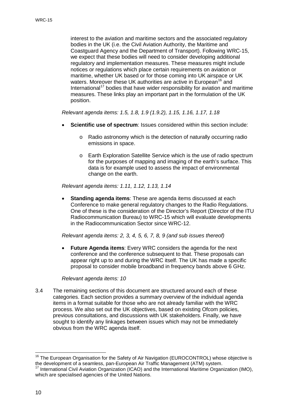interest to the aviation and maritime sectors and the associated regulatory bodies in the UK (i.e. the Civil Aviation Authority, the Maritime and Coastguard Agency and the Department of Transport). Following WRC-15, we expect that these bodies will need to consider developing additional regulatory and implementation measures. These measures might include notices or regulations which place certain requirements on aviation or maritime, whether UK based or for those coming into UK airspace or UK waters. Moreover these UK authorities are active in European<sup>[16](#page-12-0)</sup> and International<sup>[17](#page-12-1)</sup> bodies that have wider responsibility for aviation and maritime measures. These links play an important part in the formulation of the UK position.

*Relevant agenda items: 1.5, 1.8, 1.9 (1.9.2), 1.15, 1.16, 1.17, 1.18*

- **Scientific use of spectrum**: Issues considered within this section include:
	- o Radio astronomy which is the detection of naturally occurring radio emissions in space.
	- o Earth Exploration Satellite Service which is the use of radio spectrum for the purposes of mapping and imaging of the earth's surface. This data is for example used to assess the impact of environmental change on the earth.

*Relevant agenda items: 1.11, 1.12, 1.13, 1.14*

**Standing agenda items:** These are agenda items discussed at each Conference to make general regulatory changes to the Radio Regulations. One of these is the consideration of the Director's Report (Director of the ITU Radiocommunication Bureau) to WRC-15 which will evaluate developments in the Radiocommunication Sector since WRC-12.

*Relevant agenda items: 2, 3, 4, 5, 6, 7, 8, 9 (and sub issues thereof)*

**Future Agenda items:** Every WRC considers the agenda for the next conference and the conference subsequent to that. These proposals can appear right up to and during the WRC itself. The UK has made a specific proposal to consider mobile broadband in frequency bands above 6 GHz.

*Relevant agenda items: 10*

3.4 The remaining sections of this document are structured around each of these categories. Each section provides a summary overview of the individual agenda items in a format suitable for those who are not already familiar with the WRC process. We also set out the UK objectives, based on existing Ofcom policies, previous consultations, and discussions with UK stakeholders. Finally, we have sought to identify any linkages between issues which may not be immediately obvious from the WRC agenda itself.

<span id="page-12-0"></span><sup>&</sup>lt;sup>16</sup> The European Organisation for the Safety of Air Navigation (EUROCONTROL) whose objective is the development of a seamless, pan-European Air Traffic Management (ATM) system.<br><sup>17</sup> International Civil Aviation Organization (ICAO) and the International Maritime Organization (IMO),  $\overline{1}$ 

<span id="page-12-1"></span>which are specialised agencies of the United Nations.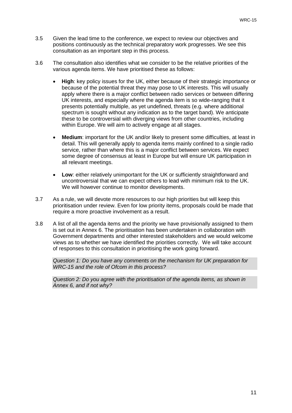- 3.5 Given the lead time to the conference, we expect to review our objectives and positions continuously as the technical preparatory work progresses. We see this consultation as an important step in this process.
- 3.6 The consultation also identifies what we consider to be the relative priorities of the various agenda items. We have prioritised these as follows:
	- **High**: key policy issues for the UK, either because of their strategic importance or because of the potential threat they may pose to UK interests. This will usually apply where there is a major conflict between radio services or between differing UK interests, and especially where the agenda item is so wide-ranging that it presents potentially multiple, as yet undefined, threats (e.g. where additional spectrum is sought without any indication as to the target band). We anticipate these to be controversial with diverging views from other countries, including within Europe. We will aim to actively engage at all stages.
	- **Medium**: important for the UK and/or likely to present some difficulties, at least in detail. This will generally apply to agenda items mainly confined to a single radio service, rather than where this is a major conflict between services. We expect some degree of consensus at least in Europe but will ensure UK participation in all relevant meetings.
	- **Low:** either relatively unimportant for the UK or sufficiently straightforward and uncontroversial that we can expect others to lead with minimum risk to the UK. We will however continue to monitor developments.
- 3.7 As a rule, we will devote more resources to our high priorities but will keep this prioritisation under review. Even for low priority items, proposals could be made that require a more proactive involvement as a result.
- 3.8 A list of all the agenda items and the priority we have provisionally assigned to them is set out in Annex 6. The prioritisation has been undertaken in collaboration with Government departments and other interested stakeholders and we would welcome views as to whether we have identified the priorities correctly. We will take account of responses to this consultation in prioritising the work going forward.

*Question 1: Do you have any comments on the mechanism for UK preparation for WRC-15 and the role of Ofcom in this process?*

*Question 2: Do you agree with the prioritisation of the agenda items, as shown in Annex 6, and if not why?*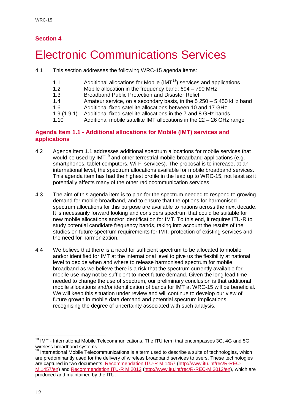### **Section 4**

## <span id="page-14-0"></span>**Electronic Communications Services**

- 4.1 This section addresses the following WRC-15 agenda items:
	- 1.1 Additional allocations for Mobile (IMT<sup>18</sup>) services and applications 1.2 Mobile allocation in the frequency band:  $694 790$  MHz
	- 1.2 Mobile allocation in the frequency band; 694 790 MHz<br>1.3 Broadband Public Protection and Disaster Relief
	- 1.3 Broadband Public Protection and Disaster Relief<br>1.4 Amateur service on a secondary basis in the 5.2
	- Amateur service, on a secondary basis, in the  $5\,250 5\,450$  kHz band
	- 1.6 Additional fixed satellite allocations between 10 and 17 GHz
	- 1.9 (1.9.1) Additional fixed satellite allocations in the 7 and 8 GHz bands
	- 1.10 Additional mobile satellite IMT allocations in the 22 26 GHz range

#### **Agenda Item 1.1 - Additional allocations for Mobile (IMT) services and applications**

- 4.2 Agenda item 1.1 addresses additional spectrum allocations for mobile services that would be used by IMT<sup>[19](#page-14-2)</sup> and other terrestrial mobile broadband applications (e.g. smartphones, tablet computers, Wi-Fi services). The proposal is to increase, at an international level, the spectrum allocations available for mobile broadband services. This agenda item has had the highest profile in the lead up to WRC-15, not least as it potentially affects many of the other radiocommunication services.
- 4.3 The aim of this agenda item is to plan for the spectrum needed to respond to growing demand for mobile broadband, and to ensure that the options for harmonised spectrum allocations for this purpose are available to nations across the next decade. It is necessarily forward looking and considers spectrum that could be suitable for new mobile allocations and/or identification for IMT. To this end, it requires ITU-R to study potential candidate frequency bands, taking into account the results of the studies on future spectrum requirements for IMT, protection of existing services and the need for harmonization.
- 4.4 We believe that there is a need for sufficient spectrum to be allocated to mobile and/or identified for IMT at the international level to give us the flexibility at national level to decide when and where to release harmonised spectrum for mobile broadband as we believe there is a risk that the spectrum currently available for mobile use may not be sufficient to meet future demand. Given the long lead time needed to change the use of spectrum, our preliminary conclusion is that additional mobile allocations and/or identification of bands for IMT at WRC-15 will be beneficial. We will keep this situation under review and will continue to develop our view of future growth in mobile data demand and potential spectrum implications, recognising the degree of uncertainty associated with such analysis.

<span id="page-14-1"></span> $18$  IMT - International Mobile Telecommunications. The ITU term that encompasses 3G, 4G and 5G wireless broadband systems  $\overline{a}$ 

<span id="page-14-2"></span> $19$  International Mobile Telecommunications is a term used to describe a suite of technologies, which are predominantly used for the delivery of wireless broadband services to users. These technologies are captured in two documents: [Recommendation ITU-R M.1457](http://www.itu.int/rec/R-REC-M.1457/en) [\(http://www.itu.int/rec/R-REC-](http://www.itu.int/rec/R-REC-M.1457/en)[M.1457/en\)](http://www.itu.int/rec/R-REC-M.1457/en) and [Recommendation ITU-R M.2012](http://www.itu.int/rec/R-REC-M.2012/en) [\(http://www.itu.int/rec/R-REC-M.2012/en\)](http://www.itu.int/rec/R-REC-M.2012/en), which are produced and maintained by the ITU.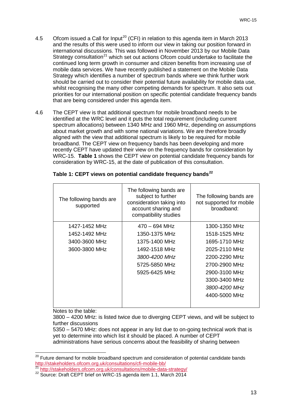- 4.5 Ofcom issued a Call for Input<sup>[20](#page-15-1)</sup> (CFI) in relation to this agenda item in March 2013 and the results of this were used to inform our view in taking our position forward in international discussions. This was followed in November 2013 by our Mobile Data Strategy consultation<sup>[21](#page-15-2)</sup> which set out actions Ofcom could undertake to facilitate the continued long term growth in consumer and citizen benefits from increasing use of mobile data services. We have recently published a statement on the Mobile Data Strategy which identifies a number of spectrum bands where we think further work should be carried out to consider their potential future availability for mobile data use, whilst recognising the many other competing demands for spectrum. It also sets out priorities for our international position on specific potential candidate frequency bands that are being considered under this agenda item.
- 4.6 The CEPT view is that additional spectrum for mobile broadband needs to be identified at the WRC level and it puts the total requirement (including current spectrum allocations) between 1340 MHz and 1960 MHz, depending on assumptions about market growth and with some national variations. We are therefore broadly aligned with the view that additional spectrum is likely to be required for mobile broadband. The CEPT view on frequency bands has been developing and more recently CEPT have updated their view on the frequency bands for consideration by WRC-15. **[Table 1](#page-15-0)** shows the CEPT view on potential candidate frequency bands for consideration by WRC-15, at the date of publication of this consultation.

| The following bands are<br>supported | The following bands are<br>subject to further<br>consideration taking into<br>account sharing and<br>compatibility studies | The following bands are<br>not supported for mobile<br>broadband: |
|--------------------------------------|----------------------------------------------------------------------------------------------------------------------------|-------------------------------------------------------------------|
| 1427-1452 MHz                        | $470 - 694$ MHz                                                                                                            | 1300-1350 MHz                                                     |
| 1452-1492 MHz                        | 1350-1375 MHz                                                                                                              | 1518-1525 MHz                                                     |
| 3400-3600 MHz                        | 1375-1400 MHz                                                                                                              | 1695-1710 MHz                                                     |
| 3600-3800 MHz                        | 1492-1518 MHz                                                                                                              | 2025-2110 MHz                                                     |
|                                      | 3800-4200 MHz                                                                                                              | 2200-2290 MHz                                                     |
|                                      | 5725-5850 MHz                                                                                                              | 2700-2900 MHz                                                     |
|                                      | 5925-6425 MHz                                                                                                              | 2900-3100 MHz                                                     |
|                                      |                                                                                                                            | 3300-3400 MHz                                                     |
|                                      |                                                                                                                            | 3800-4200 MHz                                                     |
|                                      |                                                                                                                            | 4400-5000 MHz                                                     |
|                                      |                                                                                                                            |                                                                   |

#### <span id="page-15-0"></span>**Table 1: CEPT views on potential candidate frequency bands[22](#page-15-3)**

Notes to the table:

3800 – 4200 MHz: is listed twice due to diverging CEPT views, and will be subject to further discussions

5350 – 5470 MHz: does not appear in any list due to on-going technical work that is yet to determine into which list it should be placed. A number of CEPT administrations have serious concerns about the feasibility of sharing between

<span id="page-15-1"></span><sup>&</sup>lt;sup>20</sup> Future demand for mobile broadband spectrum and consideration of potential candidate bands <http://stakeholders.ofcom.org.uk/consultations/cfi-mobile-bb/><br><sup>21</sup> http://stakeholders.ofcom.org.uk/consultations/mobile-data-strategy/  $\overline{a}$ 

<span id="page-15-3"></span><span id="page-15-2"></span><sup>22</sup> Source: Draft CEPT brief on WRC-15 agenda item 1.1, March 2014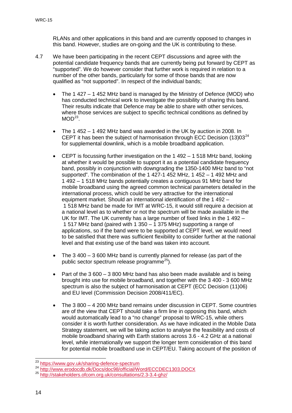RLANs and other applications in this band and are currently opposed to changes in this band. However, studies are on-going and the UK is contributing to these.

- 4.7 We have been participating in the recent CEPT discussions and agree with the potential candidate frequency bands that are currently being put forward by CEPT as "supported". We do however consider that further work is required in relation to a number of the other bands, particularly for some of those bands that are now qualified as "not supported". In respect of the individual bands;
	- The 1 427 1 452 MHz band is managed by the Ministry of Defence (MOD) who has conducted technical work to investigate the possibility of sharing this band. Their results indicate that Defence may be able to share with other services, where those services are subject to specific technical conditions as defined by  $MOD^{23}$
	- The 1 452 1 492 MHz band was awarded in the UK by auction in 2008. In CEPT it has been the subject of harmonisation through ECC Decision (13)03<sup>[24](#page-16-1)</sup> for supplemental downlink, which is a mobile broadband application.
	- CEPT is focussing further investigation on the 1 492 1 518 MHz band, looking at whether it would be possible to support it as a potential candidate frequency band, possibly in conjunction with downgrading the 1350-1400 MHz band to "not supported". The combination of the 1 427-1 452 MHz, 1 452 – 1 492 MHz and 1 492 – 1 518 MHz bands potentially creates a contiguous 91 MHz band for mobile broadband using the agreed common technical parameters detailed in the international process, which could be very attractive for the international equipment market. Should an international identification of the 1 492 – 1 518 MHz band be made for IMT at WRC-15, it would still require a decision at a national level as to whether or not the spectrum will be made available in the UK for IMT. The UK currently has a large number of fixed links in the 1 492 – 1 517 MHz band (paired with 1 350 – 1 375 MHz) supporting a range of applications, so if the band were to be supported at CEPT level, we would need to be satisfied that there was sufficient flexibility to consider further at the national level and that existing use of the band was taken into account.
	- The 3 400 3 600 MHz band is currently planned for release (as part of the public sector spectrum release programme<sup>25</sup>).
	- Part of the 3 600 3 800 MHz band has also been made available and is being brought into use for mobile broadband, and together with the 3 400 - 3 600 MHz spectrum is also the subject of harmonisation at CEPT (ECC Decision (11)06) and EU level (Commission Decision 2008/411/EC).
	- The 3 800 4 200 MHz band remains under discussion in CEPT. Some countries are of the view that CEPT should take a firm line in opposing this band, which would automatically lead to a "no change" proposal to WRC-15, while others consider it is worth further consideration. As we have indicated in the Mobile Data Strategy statement, we will be taking action to analyse the feasibility and costs of mobile broadband sharing with Earth stations across 3.6 - 4.2 GHz at a national level, while internationally we support the longer term consideration of this band for potential mobile broadband use in CEPT/EU. Taking account of the position of

<sup>&</sup>lt;sup>23</sup> https://www.gov.uk/sharing-defence-spectrum

<span id="page-16-1"></span><span id="page-16-0"></span><sup>24</sup> http://www.gov.uk/sharing-accessor.uk/sharing-spectrum<br>25 <http://www.erodocdb.dk/Docs/doc98/official/Word/ECCDEC1303.DOCX><br>25 <http://stakeholders.ofcom.org.uk/consultations/2.3-3.4-ghz/>

<span id="page-16-2"></span>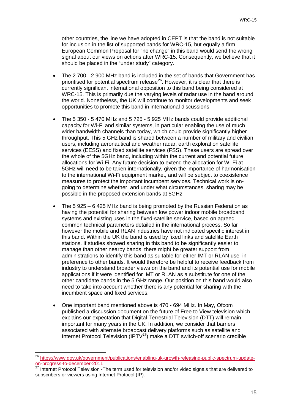other countries, the line we have adopted in CEPT is that the band is not suitable for inclusion in the list of supported bands for WRC-15, but equally a firm European Common Proposal for "no change" in this band would send the wrong signal about our views on actions after WRC-15. Consequently, we believe that it should be placed in the "under study" category.

- The 2 700 2 900 MHz band is included in the set of bands that Government has prioritised for potential spectrum release<sup>26</sup>. However, it is clear that there is currently significant international opposition to this band being considered at WRC-15. This is primarily due the varying levels of radar use in the band around the world. Nonetheless, the UK will continue to monitor developments and seek opportunities to promote this band in international discussions.
- The 5 350 5 470 MHz and 5 725 5 925 MHz bands could provide additional capacity for Wi-Fi and similar systems, in particular enabling the use of much wider bandwidth channels than today, which could provide significantly higher throughput. This 5 GHz band is shared between a number of military and civilian users, including aeronautical and weather radar, earth exploration satellite services (EESS) and fixed satellite services (FSS). These users are spread over the whole of the 5GHz band, including within the current and potential future allocations for Wi-Fi. Any future decision to extend the allocation for Wi-Fi at 5GHz will need to be taken internationally, given the importance of harmonisation to the international Wi-Fi equipment market, and will be subject to coexistence measures to protect the important incumbent services. Technical work is ongoing to determine whether, and under what circumstances, sharing may be possible in the proposed extension bands at 5GHz.
- The 5 925 6 425 MHz band is being promoted by the Russian Federation as having the potential for sharing between low power indoor mobile broadband systems and existing uses in the fixed-satellite service, based on agreed common technical parameters detailed in the international process. So far however the mobile and RLAN industries have not indicated specific interest in this band. Within the UK the band is used by fixed links and satellite Earth stations. If studies showed sharing in this band to be significantly easier to manage than other nearby bands, there might be greater support from administrations to identify this band as suitable for either IMT or RLAN use, in preference to other bands. It would therefore be helpful to receive feedback from industry to understand broader views on the band and its potential use for mobile applications if it were identified for IMT or RLAN as a substitute for one of the other candidate bands in the 5 GHz range. Our position on this band would also need to take into account whether there is any potential for sharing with the incumbent space and fixed services.
- One important band mentioned above is 470 694 MHz. In May, Ofcom published a discussion document on the future of Free to View television which explains our expectation that Digital Terrestrial Television (DTT) will remain important for many years in the UK. In addition, we consider that barriers associated with alternate broadcast delivery platforms such as satellite and Internet Protocol Television (IPTV $^{27}$ ) make a DTT switch-off scenario credible

 $\overline{a}$ 

<span id="page-17-0"></span><sup>&</sup>lt;sup>26</sup> [https://www.gov.uk/government/publications/enabling-uk-growth-releasing-public-spectrum-update](https://www.gov.uk/government/publications/enabling-uk-growth-releasing-public-spectrum-update-on-progress-to-december-2011)[on-progress-to-december-2011](https://www.gov.uk/government/publications/enabling-uk-growth-releasing-public-spectrum-update-on-progress-to-december-2011)

<span id="page-17-1"></span><sup>27</sup> Internet Protocol Television -The term used for television and/or video signals that are delivered to subscribers or viewers using Internet Protocol (IP).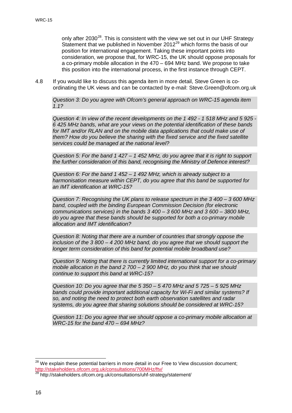only after  $2030^{28}$  $2030^{28}$  $2030^{28}$ . This is consistent with the view we set out in our UHF Strategy Statement that we published in November  $2012^{29}$  $2012^{29}$  $2012^{29}$  which forms the basis of our position for international engagement. Taking these important points into consideration, we propose that, for WRC-15, the UK should oppose proposals for a co-primary mobile allocation in the 470 – 694 MHz band. We propose to take this position into the international process, in the first instance through CEPT.

4.8 If you would like to discuss this agenda item in more detail, Steve Green is coordinating the UK views and can be contacted by e-mail: Steve.Green@ofcom.org.uk

*Question 3: Do you agree with Ofcom's general approach on WRC-15 agenda item 1.1?*

*Question 4: In view of the recent developments on the 1 492 - 1 518 MHz and 5 925 - 6 425 MHz bands, what are your views on the potential identification of these bands for IMT and/or RLAN and on the mobile data applications that could make use of them? How do you believe the sharing with the fixed service and the fixed satellite services could be managed at the national level?*

*Question 5: For the band 1 427 – 1 452 MHz, do you agree that it is right to support the further consideration of this band, recognising the Ministry of Defence interest?*

*Question 6: For the band 1 452 – 1 492 MHz, which is already subject to a harmonisation measure within CEPT, do you agree that this band be supported for an IMT identification at WRC-15?*

*Question 7: Recognising the UK plans to release spectrum in the 3 400 – 3 600 MHz band, coupled with the binding European Commission Decision (for electronic communications services) in the bands 3 400 – 3 600 MHz and 3 600 – 3800 MHz, do you agree that these bands should be supported for both a co-primary mobile allocation and IMT identification?*

*Question 8: Noting that there are a number of countries that strongly oppose the inclusion of the 3 800 – 4 200 MHz band, do you agree that we should support the longer term consideration of this band for potential mobile broadband use?*

*Question 9: Noting that there is currently limited international support for a co-primary mobile allocation in the band 2 700 – 2 900 MHz, do you think that we should continue to support this band at WRC-15?*

*Question 10: Do you agree that the 5 350 – 5 470 MHz and 5 725 – 5 925 MHz bands could provide important additional capacity for Wi-Fi and similar systems? If so, and noting the need to protect both earth observation satellites and radar systems, do you agree that sharing solutions should be considered at WRC-15?*

*Question 11: Do you agree that we should oppose a co-primary mobile allocation at WRC-15 for the band 470 – 694 MHz?*

 $\overline{a}$ 

<span id="page-18-0"></span><sup>&</sup>lt;sup>28</sup> We explain these potential barriers in more detail in our Free to View discussion document; <http://stakeholders.ofcom.org.uk/consultations/700MHz/ftv/>

<span id="page-18-1"></span>http://stakeholders.ofcom.org.uk/consultations/uhf-strategy/statement/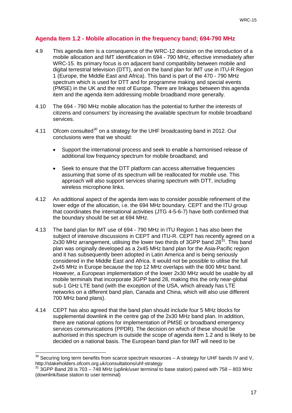#### **Agenda Item 1.2 - Mobile allocation in the frequency band; 694-790 MHz**

- 4.9 This agenda item is a consequence of the WRC-12 decision on the introduction of a mobile allocation and IMT identification in 694 - 790 MHz, effective immediately after WRC-15. Its primary focus is on adjacent band compatibility between mobile and digital terrestrial television (DTT), and on the band plan for IMT use in ITU-R Region 1 (Europe, the Middle East and Africa). This band is part of the 470 - 790 MHz spectrum which is used for DTT and for programme making and special events (PMSE) in the UK and the rest of Europe. There are linkages between this agenda item and the agenda item addressing mobile broadband more generally.
- 4.10 The 694 790 MHz mobile allocation has the potential to further the interests of citizens and consumers' by increasing the available spectrum for mobile broadband services.
- 4.11 Ofcom consulted<sup>[30](#page-19-0)</sup> on a strategy for the UHF broadcasting band in 2012. Our conclusions were that we should:
	- Support the international process and seek to enable a harmonised release of additional low frequency spectrum for mobile broadband; and
	- Seek to ensure that the DTT platform can access alternative frequencies assuming that some of its spectrum will be reallocated for mobile use. This approach will also support services sharing spectrum with DTT, including wireless microphone links.
- 4.12 An additional aspect of the agenda item was to consider possible refinement of the lower edge of the allocation, i.e. the 694 MHz boundary. CEPT and the ITU group that coordinates the international activities (JTG 4-5-6-7) have both confirmed that the boundary should be set at 694 MHz.
- 4.13 The band plan for IMT use of 694 790 MHz in ITU Region 1 has also been the subject of intensive discussions in CEPT and ITU-R. CEPT has recently agreed on a 2x30 MHz arrangement, utilising the lower two thirds of 3GPP band  $28<sup>31</sup>$  $28<sup>31</sup>$  $28<sup>31</sup>$ . This band plan was originally developed as a 2x45 MHz band plan for the Asia-Pacific region and it has subsequently been adopted in Latin America and is being seriously considered in the Middle East and Africa. It would not be possible to utilise the full 2x45 MHz in Europe because the top 12 MHz overlaps with the 800 MHz band. However, a European implementation of the lower 2x30 MHz would be usable by all mobile terminals that incorporate 3GPP band 28, making this the only near-global sub-1 GHz LTE band (with the exception of the USA, which already has LTE networks on a different band plan, Canada and China, which will also use different 700 MHz band plans).
- 4.14 CEPT has also agreed that the band plan should include four 5 MHz blocks for supplemental downlink in the centre gap of the 2x30 MHz band plan. In addition, there are national options for implementation of PMSE or broadband emergency services communications (PPDR). The decision on which of these should be authorised in this spectrum is outside the scope of agenda item 1.2 and is likely to be decided on a national basis. The European band plan for IMT will need to be

<span id="page-19-0"></span> $30$  Securing long term benefits from scarce spectrum resources – A strategy for UHF bands IV and V, http://stakeholders.ofcom.org.uk/consultations/uhf-strategy<br><sup>31</sup> 3GPP Band 28 is 703 – 748 MHz (uplink/user terminal to base station) paired with 758 – 803 MHz  $\overline{1}$ 

<span id="page-19-1"></span><sup>(</sup>downlink/base station to user terminal)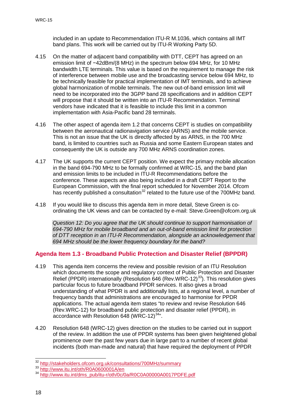included in an update to Recommendation ITU-R M.1036, which contains all IMT band plans. This work will be carried out by ITU-R Working Party 5D.

- 4.15 On the matter of adjacent band compatibility with DTT, CEPT has agreed on an emission limit of −42dBm/(8 MHz) in the spectrum below 694 MHz, for 10 MHz bandwidth LTE terminals. This value is based on the requirement to manage the risk of interference between mobile use and the broadcasting service below 694 MHz, to be technically feasible for practical implementation of IMT terminals, and to achieve global harmonization of mobile terminals. The new out-of-band emission limit will need to be incorporated into the 3GPP band 28 specifications and in addition CEPT will propose that it should be written into an ITU-R Recommendation. Terminal vendors have indicated that it is feasible to include this limit in a common implementation with Asia-Pacific band 28 terminals.
- 4.16 The other aspect of agenda item 1.2 that concerns CEPT is studies on compatibility between the aeronautical radionavigation service (ARNS) and the mobile service. This is not an issue that the UK is directly affected by as ARNS, in the 700 MHz band, is limited to countries such as Russia and some Eastern European states and consequently the UK is outside any 700 MHz ARNS coordination zones.
- 4.17 The UK supports the current CEPT position. We expect the primary mobile allocation in the band 694-790 MHz to be formally confirmed at WRC-15, and the band plan and emission limits to be included in ITU-R Recommendations before the conference. These aspects are also being included in a draft CEPT Report to the European Commission, with the final report scheduled for November 2014. Ofcom has recently published a consultation<sup>[32](#page-20-0)</sup> related to the future use of the 700MHz band.
- 4.18 If you would like to discuss this agenda item in more detail, Steve Green is coordinating the UK views and can be contacted by e-mail: Steve.Green@ofcom.org.uk

*Question 12: Do you agree that the UK should continue to support harmonisation of 694-790 MHz for mobile broadband and an out-of-band emission limit for protection of DTT reception in an ITU-R Recommendation, alongside an acknowledgement that 694 MHz should be the lower frequency boundary for the band?*

### **Agenda Item 1.3 - Broadband Public Protection and Disaster Relief (BPPDR)**

- 4.19 This agenda item concerns the review and possible revision of an ITU Resolution which documents the scope and regulatory context of Public Protection and Disaster Relief (PPDR) internationally (Resolution 646 (Rev.WRC-12)<sup>[33](#page-20-1)</sup>). This resolution gives particular focus to future broadband PPDR services. It also gives a broad understanding of what PPDR is and additionally lists, at a regional level, a number of frequency bands that administrations are encouraged to harmonise for PPDR applications. The actual agenda item states "to review and revise Resolution 646 (Rev.WRC-12) for broadband public protection and disaster relief (PPDR), in accordance with Resolution 648 (WRC-12) $34$ <sup>34</sup>".
- 4.20 Resolution 648 (WRC-12) gives direction on the studies to be carried out in support of the review. In addition the use of PPDR systems has been given heightened global prominence over the past few years due in large part to a number of recent global incidents (both man-made and natural) that have required the deployment of PPDR

<sup>&</sup>lt;sup>32</sup> http://stakeholders.ofcom.org.uk/consultations/700MHz/summary

<span id="page-20-2"></span><span id="page-20-1"></span><span id="page-20-0"></span><sup>33</sup> <http://www.itu.int/oth/R0A0600001A/en><br>34 http://www.itu.int/oth/R0A0600001A/en<br>34 http://www.itu.int/dms\_pub/itu-<u>r/oth/0c/0a/R0C0A00000A0017PDFE.pdf</u>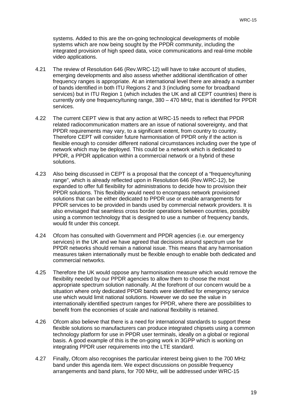systems. Added to this are the on-going technological developments of mobile systems which are now being sought by the PPDR community, including the integrated provision of high speed data, voice communications and real-time mobile video applications.

- 4.21 The review of Resolution 646 (Rev.WRC-12) will have to take account of studies, emerging developments and also assess whether additional identification of other frequency ranges is appropriate. At an international level there are already a number of bands identified in both ITU Regions 2 and 3 (including some for broadband services) but in ITU Region 1 (which includes the UK and all CEPT countries) there is currently only one frequency/tuning range, 380 – 470 MHz, that is identified for PPDR services.
- 4.22 The current CEPT view is that any action at WRC-15 needs to reflect that PPDR related radiocommunication matters are an issue of national sovereignty, and that PPDR requirements may vary, to a significant extent, from country to country. Therefore CEPT will consider future harmonisation of PPDR only if the action is flexible enough to consider different national circumstances including over the type of network which may be deployed. This could be a network which is dedicated to PPDR, a PPDR application within a commercial network or a hybrid of these solutions.
- 4.23 Also being discussed in CEPT is a proposal that the concept of a "frequency/tuning range", which is already reflected upon in Resolution 646 (Rev.WRC-12), be expanded to offer full flexibility for administrations to decide how to provision their PPDR solutions. This flexibility would need to encompass network provisioned solutions that can be either dedicated to PPDR use or enable arrangements for PPDR services to be provided in bands used by commercial network providers. It is also envisaged that seamless cross border operations between countries, possibly using a common technology that is designed to use a number of frequency bands, would fit under this concept.
- 4.24 Ofcom has consulted with Government and PPDR agencies (i.e. our emergency services) in the UK and we have agreed that decisions around spectrum use for PPDR networks should remain a national issue. This means that any harmonisation measures taken internationally must be flexible enough to enable both dedicated and commercial networks.
- 4.25 Therefore the UK would oppose any harmonisation measure which would remove the flexibility needed by our PPDR agencies to allow them to choose the most appropriate spectrum solution nationally. At the forefront of our concern would be a situation where only dedicated PPDR bands were identified for emergency service use which would limit national solutions. However we do see the value in internationally identified spectrum ranges for PPDR, where there are possibilities to benefit from the economies of scale and national flexibility is retained.
- 4.26 Ofcom also believe that there is a need for international standards to support these flexible solutions so manufacturers can produce integrated chipsets using a common technology platform for use in PPDR user terminals, ideally on a global or regional basis. A good example of this is the on-going work in 3GPP which is working on integrating PPDR user requirements into the LTE standard.
- 4.27 Finally, Ofcom also recognises the particular interest being given to the 700 MHz band under this agenda item. We expect discussions on possible frequency arrangements and band plans, for 700 MHz, will be addressed under WRC-15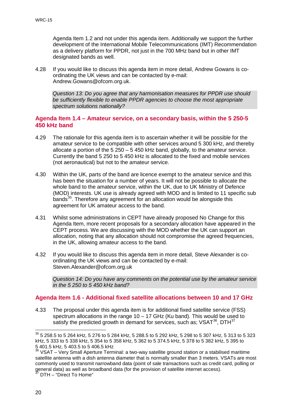Agenda Item 1.2 and not under this agenda item. Additionally we support the further development of the International Mobile Telecommunications (IMT) Recommendation as a delivery platform for PPDR, not just in the 700 MHz band but in other IMT designated bands as well.

4.28 If you would like to discuss this agenda item in more detail, Andrew Gowans is coordinating the UK views and can be contacted by e-mail: Andrew.Gowans@ofcom.org.uk.

*Question 13: Do you agree that any harmonisation measures for PPDR use should be sufficiently flexible to enable PPDR agencies to choose the most appropriate spectrum solutions nationally?*

#### **Agenda Item 1.4 – Amateur service, on a secondary basis, within the 5 250-5 450 kHz band**

- 4.29 The rationale for this agenda item is to ascertain whether it will be possible for the amateur service to be compatible with other services around 5 300 kHz, and thereby allocate a portion of the 5 250 – 5 450 kHz band, globally, to the amateur service. Currently the band 5 250 to 5 450 kHz is allocated to the fixed and mobile services (not aeronautical) but not to the amateur service.
- 4.30 Within the UK, parts of the band are licence exempt to the amateur service and this has been the situation for a number of years. It will not be possible to allocate the whole band to the amateur service, within the UK, due to UK Ministry of Defence (MOD) interests. UK use is already agreed with MOD and is limited to 11 specific sub bands<sup>[35](#page-22-0)</sup>. Therefore any agreement for an allocation would be alongside this agreement for UK amateur access to the band.
- 4.31 Whilst some administrations in CEPT have already proposed No Change for this Agenda Item, more recent proposals for a secondary allocation have appeared in the CEPT process. We are discussing with the MOD whether the UK can support an allocation, noting that any allocation should not compromise the agreed frequencies, in the UK, allowing amateur access to the band.
- 4.32 If you would like to discuss this agenda item in more detail, Steve Alexander is coordinating the UK views and can be contacted by e-mail: Steven.Alexander@ofcom.org.uk

*Question 14: Do you have any comments on the potential use by the amateur service in the 5 250 to 5 450 kHz band?*

#### **Agenda Item 1.6 - Additional fixed satellite allocations between 10 and 17 GHz**

4.33 The proposal under this agenda item is for additional fixed satellite service (FSS) spectrum allocations in the range 10 – 17 GHz (Ku band). This would be used to satisfy the predicted growth in demand for services, such as; VSAT<sup>36</sup>, DTH<sup>[37](#page-22-2)</sup>

<span id="page-22-0"></span> $^{35}$  5 258.5 to 5 264 kHz, 5 276 to 5 284 kHz, 5 288.5 to 5 292 kHz, 5 298 to 5 307 kHz, 5 313 to 5 323 kHz, 5 333 to 5 338 kHz, 5 354 to 5 358 kHz, 5 362 to 5 374.5 kHz, 5 378 to 5 382 kHz, 5 395 to 5 401.5 kHz, 5 403.5 to 5 406.5 kHz  $\overline{a}$ 

<span id="page-22-1"></span><sup>&</sup>lt;sup>36</sup> VSAT – Very Small Aperture Terminal: a two-way satellite ground station or a stabilised maritime satellite antenna with a dish antenna diameter that is normally smaller than 3 meters. VSATs are most commonly used to transmit narrowband data (point of sale transactions such as credit card, polling or general data) as well as broadband data (for the provision of satellite internet access).

<span id="page-22-2"></span>DTH – "Direct To Home"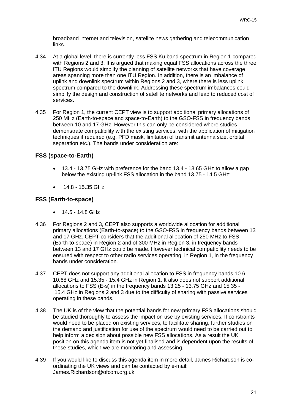broadband internet and television, satellite news gathering and telecommunication links.

- 4.34 At a global level, there is currently less FSS Ku band spectrum in Region 1 compared with Regions 2 and 3. It is argued that making equal FSS allocations across the three ITU Regions would simplify the planning of satellite networks that have coverage areas spanning more than one ITU Region. In addition, there is an imbalance of uplink and downlink spectrum within Regions 2 and 3, where there is less uplink spectrum compared to the downlink. Addressing these spectrum imbalances could simplify the design and construction of satellite networks and lead to reduced cost of services.
- 4.35 For Region 1, the current CEPT view is to support additional primary allocations of 250 MHz (Earth-to-space and space-to-Earth) to the GSO-FSS in frequency bands between 10 and 17 GHz. However this can only be considered where studies demonstrate compatibility with the existing services, with the application of mitigation techniques if required (e.g. PFD mask, limitation of transmit antenna size, orbital separation etc.). The bands under consideration are:

#### **FSS (space-to-Earth)**

- 13.4 13.75 GHz with preference for the band 13.4 13.65 GHz to allow a gap below the existing up-link FSS allocation in the band 13.75 - 14.5 GHz;
- 14.8 15.35 GHz

#### **FSS (Earth-to-space)**

- 14.5 14.8 GHz
- 4.36 For Regions 2 and 3, CEPT also supports a worldwide allocation for additional primary allocations (Earth-to-space) to the GSO-FSS in frequency bands between 13 and 17 GHz. CEPT considers that the additional allocation of 250 MHz to FSS (Earth-to-space) in Region 2 and of 300 MHz in Region 3, in frequency bands between 13 and 17 GHz could be made. However technical compatibility needs to be ensured with respect to other radio services operating, in Region 1, in the frequency bands under consideration.
- 4.37 CEPT does not support any additional allocation to FSS in frequency bands 10.6- 10.68 GHz and 15.35 - 15.4 GHz in Region 1. It also does not support additional allocations to FSS (E-s) in the frequency bands 13.25 - 13.75 GHz and 15.35 - 15.4 GHz in Regions 2 and 3 due to the difficulty of sharing with passive services operating in these bands.
- 4.38 The UK is of the view that the potential bands for new primary FSS allocations should be studied thoroughly to assess the impact on use by existing services. If constraints would need to be placed on existing services, to facilitate sharing, further studies on the demand and justification for use of the spectrum would need to be carried out to help inform a decision about possible new FSS allocations. As a result the UK position on this agenda item is not yet finalised and is dependent upon the results of these studies, which we are monitoring and assessing.
- 4.39 If you would like to discuss this agenda item in more detail, James Richardson is coordinating the UK views and can be contacted by e-mail: James.Richardson@ofcom.org.uk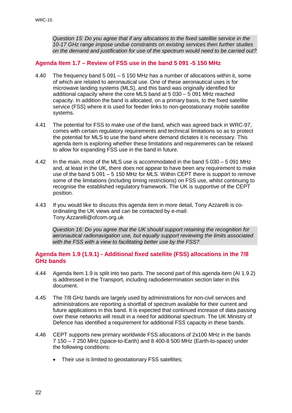*Question 15: Do you agree that if any allocations to the fixed satellite service in the 10-17 GHz range impose undue constraints on existing services then further studies on the demand and justification for use of the spectrum would need to be carried out?*

#### **Agenda Item 1.7 – Review of FSS use in the band 5 091 -5 150 MHz**

- 4.40 The frequency band 5 091 5 150 MHz has a number of allocations within it, some of which are related to aeronautical use. One of these aeronautical uses is for microwave landing systems (MLS), and this band was originally identified for additional capacity where the core MLS band at 5 030 – 5 091 MHz reached capacity. In addition the band is allocated, on a primary basis, to the fixed satellite service (FSS) where it is used for feeder links to non-geostationary mobile satellite systems.
- 4.41 The potential for FSS to make use of the band, which was agreed back in WRC-97, comes with certain regulatory requirements and technical limitations so as to protect the potential for MLS to use the band where demand dictates it is necessary. This agenda item is exploring whether these limitations and requirements can be relaxed to allow for expanding FSS use in the band in future.
- 4.42 In the main, most of the MLS use is accommodated in the band 5 030 5 091 MHz and, at least in the UK, there does not appear to have been any requirement to make use of the band 5 091 – 5 150 MHz for MLS. Within CEPT there is support to remove some of the limitations (including timing restrictions) on FSS use, whilst continuing to recognise the established regulatory framework. The UK is supportive of the CEPT position.
- 4.43 If you would like to discuss this agenda item in more detail, Tony Azzarelli is coordinating the UK views and can be contacted by e-mail: Tony.Azzarelli@ofcom.org.uk

*Question 16: Do you agree that the UK should support retaining the recognition for aeronautical radionavigation use, but equally support reviewing the limits associated with the FSS with a view to facilitating better use by the FSS?*

#### **Agenda Item 1.9 (1.9.1) - Additional fixed satellite (FSS) allocations in the 7/8 GHz bands**

- 4.44 Agenda Item 1.9 is split into two parts. The second part of this agenda item (AI 1.9.2) is addressed in the Transport, including radiodetermination section later in this document.
- 4.45 The 7/8 GHz bands are largely used by administrations for non-civil services and administrations are reporting a shortfall of spectrum available for their current and future applications in this band. It is expected that continued increase of data passing over these networks will result in a need for additional spectrum. The UK Ministry of Defence has identified a requirement for additional FSS capacity in these bands.
- 4.46 CEPT supports new primary worldwide FSS allocations of 2x100 MHz in the bands 7 150 – 7 250 MHz (space-to-Earth) and 8 400-8 500 MHz (Earth-to-space) under the following conditions:
	- Their use is limited to geostationary FSS satellites;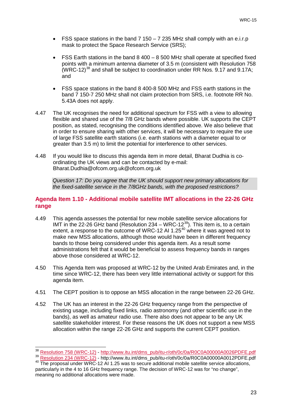- FSS space stations in the band  $7150 7235$  MHz shall comply with an e.i.r.p mask to protect the Space Research Service (SRS);
- FSS Earth stations in the band  $8\,400 8\,500$  MHz shall operate at specified fixed points with a minimum antenna diameter of 3.5 m (consistent with Resolution 758  $(WRC-12)^{38}$  $(WRC-12)^{38}$  $(WRC-12)^{38}$  and shall be subject to coordination under RR Nos. 9.17 and 9.17A; and
- FSS space stations in the band 8 400-8 500 MHz and FSS earth stations in the band 7 150-7 250 MHz shall not claim protection from SRS, i.e. footnote RR No. 5.43A does not apply.
- 4.47 The UK recognises the need for additional spectrum for FSS with a view to allowing flexible and shared use of the 7/8 GHz bands where possible. UK supports the CEPT position, as stated, recognising the conditions identified above. We also believe that in order to ensure sharing with other services, it will be necessary to require the use of large FSS satellite earth stations (i.e. earth stations with a diameter equal to or greater than 3.5 m) to limit the potential for interference to other services.
- 4.48 If you would like to discuss this agenda item in more detail, Bharat Dudhia is coordinating the UK views and can be contacted by e-mail: Bharat.Dudhia@ofcom.org.uk@ofcom.org.uk

*Question 17: Do you agree that the UK should support new primary allocations for the fixed-satellite service in the 7/8GHz bands, with the proposed restrictions?*

#### **Agenda Item 1.10 - Additional mobile satellite IMT allocations in the 22-26 GHz range**

- 4.49 This agenda assesses the potential for new mobile satellite service allocations for IMT in the 22-26 GHz band (Resolution 234 – WRC-12<sup>[39](#page-25-1)</sup>). This item is, to a certain extent, a response to the outcome of WRC-12 AI 1.25<sup>[40](#page-25-2)</sup> where it was agreed not to make new MSS allocations, although those would have been in different frequency bands to those being considered under this agenda item. As a result some administrations felt that it would be beneficial to assess frequency bands in ranges above those considered at WRC-12.
- 4.50 This Agenda Item was proposed at WRC-12 by the United Arab Emirates and, in the time since WRC-12, there has been very little international activity or support for this agenda item.
- 4.51 The CEPT position is to oppose an MSS allocation in the range between 22-26 GHz.
- 4.52 The UK has an interest in the 22-26 GHz frequency range from the perspective of existing usage, including fixed links, radio astronomy (and other scientific use in the bands), as well as amateur radio use. There also does not appear to be any UK satellite stakeholder interest. For these reasons the UK does not support a new MSS allocation within the range 22-26 GHz and supports the current CEPT position.

<sup>38</sup> 

<span id="page-25-1"></span><span id="page-25-0"></span> $^{38}$  Resolution [758 \(WRC-12\)](http://www.itu.int/dms_pub/itu-r/oth/0c/0a/R0C0A00000A0026PDFE.pdf) - [http://www.itu.int/dms\\_pub/itu-r/oth/0c/0a/R0C0A00000A0026PDFE.pdf](http://www.itu.int/dms_pub/itu-r/oth/0c/0a/R0C0A00000A0026PDFE.pdf)<br> $^{39}$  [Resolution 234 \(WRC-12\)](http://www.itu.int/dms_pub/itu-r/oth/0c/0a/R0C0A00000A0012PDFE.pdf) - http://www.itu.int/dms\_pub/itu-r/oth/0c/0a/R0C0A00000A0012PDFE.pdf<br><sup>40</sup> The proposal und

<span id="page-25-2"></span>particularly in the 4 to 16 GHz frequency range. The decision of WRC-12 was for "no change", meaning no additional allocations were made.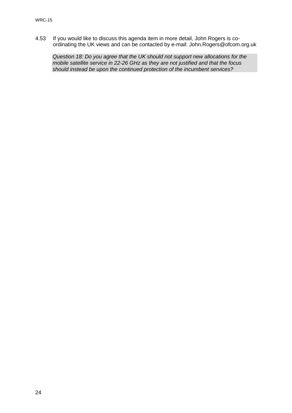4.53 If you would like to discuss this agenda item in more detail, John Rogers is coordinating the UK views and can be contacted by e-mail: John.Rogers@ofcom.org.uk

*Question 18: Do you agree that the UK should not support new allocations for the mobile satellite service in 22-26 GHz as they are not justified and that the focus should instead be upon the continued protection of the incumbent services?*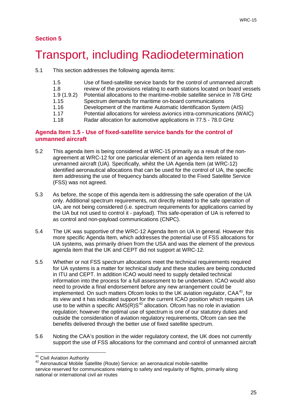### **Section 5**

## <span id="page-27-0"></span>5 Transport, including Radiodetermination

5.1 This section addresses the following agenda items:

| 1.5        | Use of fixed-satellite service bands for the control of unmanned aircraft    |
|------------|------------------------------------------------------------------------------|
| 1.8        | review of the provisions relating to earth stations located on board vessels |
| 1.9(1.9.2) | Potential allocations to the maritime-mobile satellite service in 7/8 GHz    |
| 1.15       | Spectrum demands for maritime on-board communications                        |
| 1.16       | Development of the maritime Automatic Identification System (AIS)            |
| 1.17       | Potential allocations for wireless avionics intra-communications (WAIC)      |
| 1.18       | Radar allocation for automotive applications in 77.5 - 78.0 GHz              |

#### **Agenda Item 1.5 - Use of fixed-satellite service bands for the control of unmanned aircraft**

- 5.2 This agenda item is being considered at WRC-15 primarily as a result of the nonagreement at WRC-12 for one particular element of an agenda item related to unmanned aircraft (UA). Specifically, whilst the UA Agenda Item (at WRC-12) identified aeronautical allocations that can be used for the control of UA, the specific item addressing the use of frequency bands allocated to the Fixed Satellite Service (FSS) was not agreed.
- 5.3 As before, the scope of this agenda item is addressing the safe operation of the UA only. Additional spectrum requirements, not directly related to the safe operation of UA, are not being considered (i.e. spectrum requirements for applications carried by the UA but not used to control it - payload). This safe-operation of UA is referred to as control and non-payload communications (CNPC).
- 5.4 The UK was supportive of the WRC-12 Agenda Item on UA in general. However this more specific Agenda Item, which addresses the potential use of FSS allocations for UA systems, was primarily driven from the USA and was the element of the previous agenda item that the UK and CEPT did not support at WRC-12.
- 5.5 Whether or not FSS spectrum allocations meet the technical requirements required for UA systems is a matter for technical study and these studies are being conducted in ITU and CEPT. In addition ICAO would need to supply detailed technical information into the process for a full assessment to be undertaken. ICAO would also need to provide a final endorsement before any new arrangement could be implemented. On such matters Ofcom looks to the UK aviation regulator.  $CAA^{41}$  $CAA^{41}$  $CAA^{41}$ , for its view and it has indicated support for the current ICAO position which requires UA use to be within a specific  $AMS(R)S<sup>42</sup>$  $AMS(R)S<sup>42</sup>$  $AMS(R)S<sup>42</sup>$  allocation. Ofcom has no role in aviation regulation; however the optimal use of spectrum is one of our statutory duties and outside the consideration of aviation regulatory requirements, Ofcom can see the benefits delivered through the better use of fixed satellite spectrum.
- 5.6 Noting the CAA's position in the wider regulatory context, the UK does not currently support the use of FSS allocations for the command and control of unmanned aircraft

<span id="page-27-1"></span><sup>&</sup>lt;sup>41</sup> Civil Aviation Authority

<span id="page-27-2"></span><sup>&</sup>lt;sup>42</sup> Aeronautical Mobile Satellite (Route) Service: an aeronautical mobile-satellite service reserved for communications relating to safety and regularity of flights, primarily along national or international civil air routes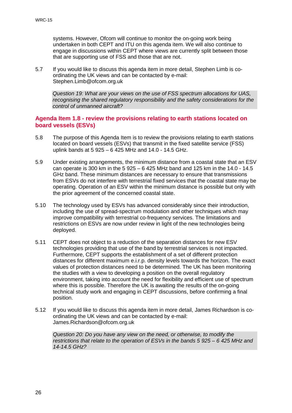systems. However, Ofcom will continue to monitor the on-going work being undertaken in both CEPT and ITU on this agenda item. We will also continue to engage in discussions within CEPT where views are currently split between those that are supporting use of FSS and those that are not.

5.7 If you would like to discuss this agenda item in more detail, Stephen Limb is coordinating the UK views and can be contacted by e-mail: Stephen.Limb@ofcom.org.uk

*Question 19: What are your views on the use of FSS spectrum allocations for UAS, recognising the shared regulatory responsibility and the safety considerations for the control of unmanned aircraft?*

#### **Agenda Item 1.8 - review the provisions relating to earth stations located on board vessels (ESVs)**

- 5.8 The purpose of this Agenda Item is to review the provisions relating to earth stations located on board vessels (ESVs) that transmit in the fixed satellite service (FSS) uplink bands at 5 925 – 6 425 MHz and 14.0 - 14.5 GHz.
- 5.9 Under existing arrangements, the minimum distance from a coastal state that an ESV can operate is 300 km in the 5 925 – 6 425 MHz band and 125 km in the 14.0 - 14.5 GHz band. These minimum distances are necessary to ensure that transmissions from ESVs do not interfere with terrestrial fixed services that the coastal state may be operating. Operation of an ESV within the minimum distance is possible but only with the prior agreement of the concerned coastal state.
- 5.10 The technology used by ESVs has advanced considerably since their introduction, including the use of spread-spectrum modulation and other techniques which may improve compatibility with terrestrial co-frequency services. The limitations and restrictions on ESVs are now under review in light of the new technologies being deployed.
- 5.11 CEPT does not object to a reduction of the separation distances for new ESV technologies providing that use of the band by terrestrial services is not impacted. Furthermore, CEPT supports the establishment of a set of different protection distances for different maximum e.i.r.p. density levels towards the horizon. The exact values of protection distances need to be determined. The UK has been monitoring the studies with a view to developing a position on the overall regulatory environment, taking into account the need for flexibility and efficient use of spectrum where this is possible. Therefore the UK is awaiting the results of the on-going technical study work and engaging in CEPT discussions, before confirming a final position.
- 5.12 If you would like to discuss this agenda item in more detail, James Richardson is coordinating the UK views and can be contacted by e-mail: James.Richardson@ofcom.org.uk

*Question 20: Do you have any view on the need, or otherwise, to modify the restrictions that relate to the operation of ESVs in the bands 5 925 – 6 425 MHz and 14-14.5 GHz?*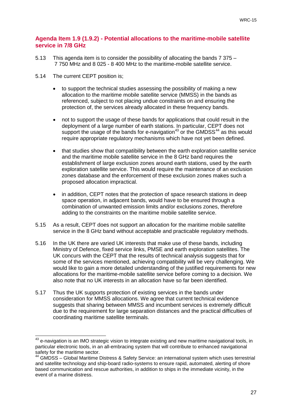#### **Agenda Item 1.9 (1.9.2) - Potential allocations to the maritime-mobile satellite service in 7/8 GHz**

- 5.13 This agenda item is to consider the possibility of allocating the bands 7 375 7 750 MHz and 8 025 - 8 400 MHz to the maritime-mobile satellite service.
- 5.14 The current CEPT position is;

 $\overline{\phantom{a}}$ 

- to support the technical studies assessing the possibility of making a new allocation to the maritime mobile satellite service (MMSS) in the bands as referenced, subject to not placing undue constraints on and ensuring the protection of, the services already allocated in these frequency bands.
- not to support the usage of these bands for applications that could result in the deployment of a large number of earth stations. In particular, CEPT does not support the usage of the bands for e-navigation<sup>[43](#page-29-0)</sup> or the GMDSS<sup>[44](#page-29-1)</sup> as this would require appropriate regulatory mechanisms which have not yet been defined.
- that studies show that compatibility between the earth exploration satellite service and the maritime mobile satellite service in the 8 GHz band requires the establishment of large exclusion zones around earth stations, used by the earth exploration satellite service. This would require the maintenance of an exclusion zones database and the enforcement of these exclusion zones makes such a proposed allocation impractical.
- in addition, CEPT notes that the protection of space research stations in deep space operation, in adjacent bands, would have to be ensured through a combination of unwanted emission limits and/or exclusions zones, therefore adding to the constraints on the maritime mobile satellite service.
- 5.15 As a result, CEPT does not support an allocation for the maritime mobile satellite service in the 8 GHz band without acceptable and practicable regulatory methods.
- 5.16 In the UK there are varied UK interests that make use of these bands, including Ministry of Defence, fixed service links, PMSE and earth exploration satellites. The UK concurs with the CEPT that the results of technical analysis suggests that for some of the services mentioned, achieving compatibility will be very challenging. We would like to gain a more detailed understanding of the justified requirements for new allocations for the maritime-mobile satellite service before coming to a decision. We also note that no UK interests in an allocation have so far been identified.
- 5.17 Thus the UK supports protection of existing services in the bands under consideration for MMSS allocations. We agree that current technical evidence suggests that sharing between MMSS and incumbent services is extremely difficult due to the requirement for large separation distances and the practical difficulties of coordinating maritime satellite terminals.

<span id="page-29-0"></span> $^{43}$  e-navigation is an IMO strategic vision to integrate existing and new maritime navigational tools, in particular electronic tools, in an all-embracing system that will contribute to enhanced navigational safety for the maritime sector.

<span id="page-29-1"></span><sup>44</sup> GMDSS – Global Maritime Distress & Safety Service: an international system which uses terrestrial and satellite technology and ship-board radio-systems to ensure rapid, automated, alerting of shore based communication and rescue authorities, in addition to ships in the immediate vicinity, in the event of a marine distress.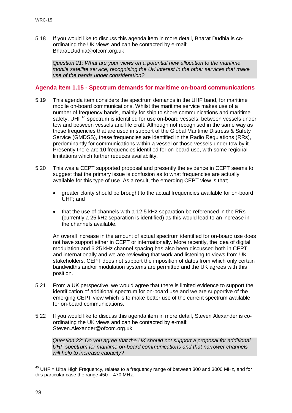5.18 If you would like to discuss this agenda item in more detail, Bharat Dudhia is coordinating the UK views and can be contacted by e-mail: Bharat.Dudhia@ofcom.org.uk

*Question 21: What are your views on a potential new allocation to the maritime mobile satellite service, recognising the UK interest in the other services that make use of the bands under consideration?*

#### **Agenda Item 1.15 - Spectrum demands for maritime on-board communications**

- 5.19 This agenda item considers the spectrum demands in the UHF band, for maritime mobile on-board communications. Whilst the maritime service makes use of a number of frequency bands, mainly for ship to shore communications and maritime safety, UHF<sup>[45](#page-30-0)</sup> spectrum is identified for use on-board vessels, between vessels under tow and between vessels and life craft. Although not recognised in the same way as those frequencies that are used in support of the Global Maritime Distress & Safety Service (GMDSS), these frequencies are identified in the Radio Regulations (RRs), predominantly for communications within a vessel or those vessels under tow by it. Presently there are 10 frequencies identified for on-board use, with some regional limitations which further reduces availability.
- 5.20 This was a CEPT supported proposal and presently the evidence in CEPT seems to suggest that the primary issue is confusion as to what frequencies are actually available for this type of use. As a result, the emerging CEPT view is that;
	- greater clarity should be brought to the actual frequencies available for on-board UHF; and
	- that the use of channels with a 12.5 kHz separation be referenced in the RRs (currently a 25 kHz separation is identified) as this would lead to an increase in the channels available.

An overall increase in the amount of actual spectrum identified for on-board use does not have support either in CEPT or internationally. More recently, the idea of digital modulation and 6.25 kHz channel spacing has also been discussed both in CEPT and internationally and we are reviewing that work and listening to views from UK stakeholders. CEPT does not support the imposition of dates from which only certain bandwidths and/or modulation systems are permitted and the UK agrees with this position.

- 5.21 From a UK perspective, we would agree that there is limited evidence to support the identification of additional spectrum for on-board use and we are supportive of the emerging CEPT view which is to make better use of the current spectrum available for on-board communications.
- 5.22 If you would like to discuss this agenda item in more detail, Steven Alexander is coordinating the UK views and can be contacted by e-mail: Steven.Alexander@ofcom.org.uk

*Question 22: Do you agree that the UK should not support a proposal for additional UHF spectrum for maritime on-board communications and that narrower channels will help to increase capacity?*

<span id="page-30-0"></span> $45$  UHF = Ultra High Frequency, relates to a frequency range of between 300 and 3000 MHz, and for this particular case the range 450 – 470 MHz.  $\overline{a}$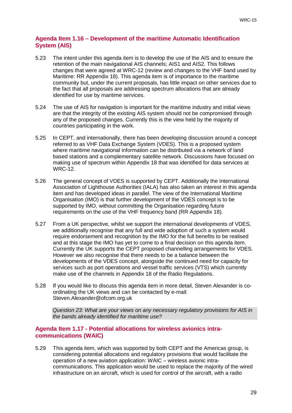#### **Agenda Item 1.16 – Development of the maritime Automatic Identification System (AIS)**

- 5.23 The intent under this agenda item is to develop the use of the AIS and to ensure the retention of the main navigational AIS channels; AIS1 and AIS2. This follows changes that were agreed at WRC-12 (review and changes to the VHF band used by Maritime: RR Appendix 18). This agenda item is of importance to the maritime community but, under the current proposals, has little impact on other services due to the fact that all proposals are addressing spectrum allocations that are already identified for use by maritime services.
- 5.24 The use of AIS for navigation is important for the maritime industry and initial views are that the integrity of the existing AIS system should not be compromised through any of the proposed changes. Currently this is the view held by the majority of countries participating in the work.
- 5.25 In CEPT, and internationally, there has been developing discussion around a concept referred to as VHF Data Exchange System (VDES). This is a proposed system where maritime navigational information can be distributed via a network of land based stations and a complementary satellite network. Discussions have focused on making use of spectrum within Appendix 18 that was identified for data services at WRC-12.
- 5.26 The general concept of VDES is supported by CEPT. Additionally the International Association of Lighthouse Authorities (IALA) has also taken an interest in this agenda item and has developed ideas in parallel. The view of the International Maritime Organisation (IMO) is that further development of the VDES concept is to be supported by IMO, without committing the Organisation regarding future requirements on the use of the VHF frequency band (RR Appendix 18).
- 5.27 From a UK perspective, whilst we support the international developments of VDES, we additionally recognise that any full and wide adoption of such a system would require endorsement and recognition by the IMO for the full benefits to be realised and at this stage the IMO has yet to come to a final decision on this agenda item. Currently the UK supports the CEPT proposed channelling arrangements for VDES. However we also recognise that there needs to be a balance between the developments of the VDES concept, alongside the continued need for capacity for services such as port operations and vessel traffic services (VTS) which currently make use of the channels in Appendix 18 of the Radio Regulations.
- 5.28 If you would like to discuss this agenda item in more detail, Steven Alexander is coordinating the UK views and can be contacted by e-mail: Steven.Alexander@ofcom.org.uk

*Question 23: What are your views on any necessary regulatory provisions for AIS in the bands already identified for maritime use?*

#### **Agenda Item 1.17 - Potential allocations for wireless avionics intracommunications (WAIC)**

5.29 This agenda item, which was supported by both CEPT and the Americas group, is considering potential allocations and regulatory provisions that would facilitate the operation of a new aviation application: WAIC – wireless avionic intracommunications. This application would be used to replace the majority of the wired infrastructure on an aircraft, which is used for control of the aircraft, with a radio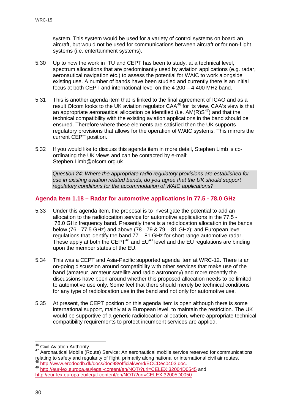system. This system would be used for a variety of control systems on board an aircraft, but would not be used for communications between aircraft or for non-flight systems (i.e. entertainment systems).

- 5.30 Up to now the work in ITU and CEPT has been to study, at a technical level, spectrum allocations that are predominantly used by aviation applications (e.g. radar, aeronautical navigation etc.) to assess the potential for WAIC to work alongside existing use. A number of bands have been studied and currently there is an initial focus at both CEPT and international level on the 4 200 – 4 400 MHz band.
- 5.31 This is another agenda item that is linked to the final agreement of ICAO and as a result Ofcom looks to the UK aviation regulator CAA<sup>[46](#page-32-0)</sup> for its view. CAA's view is that an appropriate aeronautical allocation be identified (i.e.  $AM(R)S<sup>47</sup>$ ) and that the technical compatibility with the existing aviation applications in the band should be ensured. Therefore where these elements are satisfied then the UK supports regulatory provisions that allows for the operation of WAIC systems. This mirrors the current CEPT position.
- 5.32 If you would like to discuss this agenda item in more detail, Stephen Limb is coordinating the UK views and can be contacted by e-mail: Stephen.Limb@ofcom.org.uk

*Question 24: Where the appropriate radio regulatory provisions are established for use in existing aviation related bands, do you agree that the UK should support regulatory conditions for the accommodation of WAIC applications?*

#### **Agenda Item 1.18 – Radar for automotive applications in 77.5 - 78.0 GHz**

- 5.33 Under this agenda item, the proposal is to investigate the potential to add an allocation to the radiolocation service for automotive applications in the 77.5 - 78.0 GHz frequency band. Presently there is a radiolocation allocation in the bands below (76 - 77.5 GHz) and above (78 - 79 & 79 – 81 GHz); and European level regulations that identify the band 77 – 81 GHz for short range automotive radar. These apply at both the CEPT<sup>[48](#page-32-2)</sup> and  $EU^{49}$  $EU^{49}$  $EU^{49}$  level and the EU regulations are binding upon the member states of the EU.
- 5.34 This was a CEPT and Asia-Pacific supported agenda item at WRC-12. There is an on-going discussion around compatibility with other services that make use of the band (amateur, amateur satellite and radio astronomy) and more recently the discussions have been around whether this proposed allocation needs to be limited to automotive use only. Some feel that there should merely be technical conditions for any type of radiolocation use in the band and not only for automotive use.
- 5.35 At present, the CEPT position on this agenda item is open although there is some international support, mainly at a European level, to maintain the restriction. The UK would be supportive of a generic radiolocation allocation, where appropriate technical compatibility requirements to protect incumbent services are applied.

<sup>&</sup>lt;sup>46</sup> Civil Aviation Authority

<span id="page-32-1"></span><span id="page-32-0"></span><sup>&</sup>lt;sup>47</sup> Aeronautical Mobile (Route) Service: An aeronautical mobile service reserved for communications relating to safety and regularity of flight, primarily along national or international civil air routes.<br><sup>48</sup> http://www.erodocdb.dk/docs/doc<u>98/official/word/ECCDec0403.doc</u>.

<span id="page-32-3"></span><span id="page-32-2"></span><sup>49</sup> <http://eur-lex.europa.eu/legal-content/en/NOT/?uri=CELEX:32004D0545> and <http://eur-lex.europa.eu/legal-content/en/NOT/?uri=CELEX:32005D0050>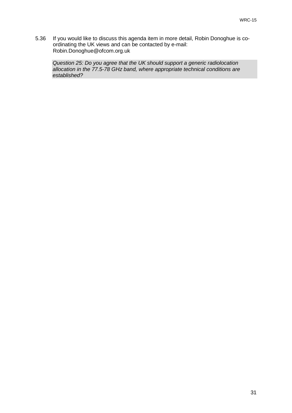5.36 If you would like to discuss this agenda item in more detail, Robin Donoghue is coordinating the UK views and can be contacted by e-mail: Robin.Donoghue@ofcom.org.uk

*Question 25: Do you agree that the UK should support a generic radiolocation allocation in the 77.5-78 GHz band, where appropriate technical conditions are established?*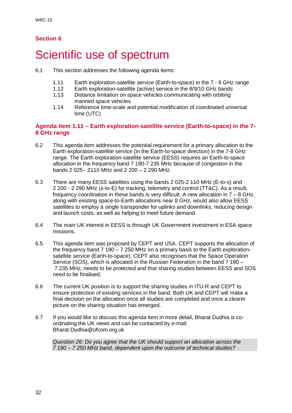### **Section 6**

## <span id="page-34-0"></span>Scientific use of spectrum

- 6.1 This section addresses the following agenda items:
	- 1.11 Earth exploration-satellite service (Earth-to-space) in the 7 8 GHz range<br>1.12 Earth exploration-satellite (active) service in the 8/9/10 GHz bands
	- 1.12 Earth exploration-satellite (active) service in the 8/9/10 GHz bands<br>1.13 Distance limitation on space vehicles communicating with orbiting
	- Distance limitation on space vehicles communicating with orbiting manned space vehicles
	- 1.14 Reference time-scale and potential modification of coordinated universal time (UTC)

#### **Agenda item 1.11 – Earth exploration-satellite service (Earth-to-space) in the 7- 8 GHz range**

- 6.2 This agenda item addresses the potential requirement for a primary allocation to the Earth exploration-satellite service (in the Earth-to-space direction) in the 7-8 GHz range. The Earth exploration-satellite service (EESS) requires an Earth-to-space allocation in the frequency band 7 190-7 235 MHz because of congestion in the bands 2 025 - 2110 MHz and 2 200 – 2 290 MHz.
- 6.3 There are many EESS satellites using the bands 2 025-2 110 MHz (E-to-s) and 2 200 - 2 290 MHz (s-to-E) for tracking, telemetry and control (TT&C). As a result, frequency coordination in these bands is very difficult. A new allocation in 7 – 8 GHz, along with existing space-to-Earth allocations near 8 GHz, would also allow EESS satellites to employ a single transponder for uplinks and downlinks, reducing design and launch costs, as well as helping to meet future demand.
- 6.4 The main UK interest in EESS is through UK Government investment in ESA space missions.
- 6.5 This agenda item was proposed by CEPT and USA. CEPT supports the allocation of the frequency band 7 190 – 7 250 MHz on a primary basis to the Earth explorationsatellite service (Earth-to-space). CEPT also recognises that the Space Operation Service (SOS), which is allocated in the Russian Federation in the band 7 190 – 7 235 MHz, needs to be protected and that sharing studies between EESS and SOS need to be finalised.
- 6.6 The current UK position is to support the sharing studies in ITU-R and CEPT to ensure protection of existing services in the band. Both UK and CEPT will make a final decision on the allocation once all studies are completed and once a clearer picture on the sharing situation has emerged.
- 6.7 If you would like to discuss this agenda item in more detail, Bharat Dudhia is coordinating the UK views and can be contacted by e-mail: Bharat.Dudhia@ofcom.org.uk

*Question 26: Do you agree that the UK should support an allocation across the 7 190 – 7 250 MHz band, dependent upon the outcome of technical studies?*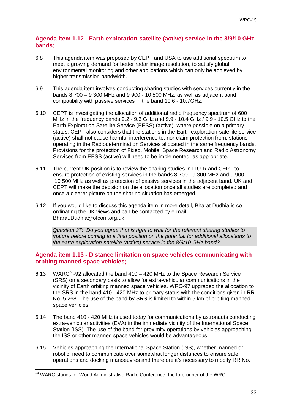#### **Agenda item 1.12 - Earth exploration-satellite (active) service in the 8/9/10 GHz bands;**

- 6.8 This agenda item was proposed by CEPT and USA to use additional spectrum to meet a growing demand for better radar image resolution, to satisfy global environmental monitoring and other applications which can only be achieved by higher transmission bandwidth.
- 6.9 This agenda item involves conducting sharing studies with services currently in the bands 8 700 – 9 300 MHz and 9 900 - 10 500 MHz, as well as adjacent band compatibility with passive services in the band 10.6 - 10.7GHz.
- 6.10 CEPT is investigating the allocation of additional radio frequency spectrum of 600 MHz in the frequency bands 9.2 - 9.3 GHz and 9.9 - 10.4 GHz / 9.9 - 10.5 GHz to the Earth Exploration-Satellite Service (EESS) (active), where possible on a primary status. CEPT also considers that the stations in the Earth exploration-satellite service (active) shall not cause harmful interference to, nor claim protection from, stations operating in the Radiodetermination Services allocated in the same frequency bands. Provisions for the protection of Fixed, Mobile, Space Research and Radio Astronomy Services from EESS (active) will need to be implemented, as appropriate.
- 6.11 The current UK position is to review the sharing studies in ITU-R and CEPT to ensure protection of existing services in the bands 8 700 - 9 300 MHz and 9 900 - 10 500 MHz as well as protection of passive services in the adjacent band. UK and CEPT will make the decision on the allocation once all studies are completed and once a clearer picture on the sharing situation has emerged.
- 6.12 If you would like to discuss this agenda item in more detail, Bharat Dudhia is coordinating the UK views and can be contacted by e-mail: Bharat.Dudhia@ofcom.org.uk

*Question 27: Do you agree that is right to wait for the relevant sharing studies to mature before coming to a final position on the potential for additional allocations to the earth exploration-satellite (active) service in the 8/9/10 GHz band?*

#### **Agenda item 1.13 - Distance limitation on space vehicles communicating with orbiting manned space vehicles;**

- 6.13 WARC $50-92$  $50-92$  allocated the band 410 420 MHz to the Space Research Service (SRS) on a secondary basis to allow for extra-vehicular communications in the vicinity of Earth orbiting manned space vehicles. WRC-97 upgraded the allocation to the SRS in the band 410 - 420 MHz to primary status with the conditions given in RR No. 5.268. The use of the band by SRS is limited to within 5 km of orbiting manned space vehicles.
- 6.14 The band 410 420 MHz is used today for communications by astronauts conducting extra-vehicular activities (EVA) in the immediate vicinity of the International Space Station (ISS). The use of the band for proximity operations by vehicles approaching the ISS or other manned space vehicles would be advantageous.
- 6.15 Vehicles approaching the International Space Station (ISS), whether manned or robotic, need to communicate over somewhat longer distances to ensure safe operations and docking manoeuvres and therefore it's necessary to modify RR No.

<span id="page-35-0"></span> $50$  WARC stands for World Administrative Radio Conference, the forerunner of the WRC  $\overline{a}$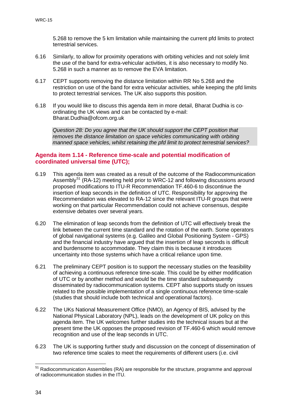5.268 to remove the 5 km limitation while maintaining the current pfd limits to protect terrestrial services.

- 6.16 Similarly, to allow for proximity operations with orbiting vehicles and not solely limit the use of the band for extra-vehicular activities, it is also necessary to modify No. 5.268 in such a manner as to remove the EVA limitation.
- 6.17 CEPT supports removing the distance limitation within RR No 5.268 and the restriction on use of the band for extra vehicular activities, while keeping the pfd limits to protect terrestrial services. The UK also supports this position.
- 6.18 If you would like to discuss this agenda item in more detail, Bharat Dudhia is coordinating the UK views and can be contacted by e-mail: Bharat.Dudhia@ofcom.org.uk

*Question 28: Do you agree that the UK should support the CEPT position that removes the distance limitation on space vehicles communicating with orbiting manned space vehicles, whilst retaining the pfd limit to protect terrestrial services?*

#### **Agenda item 1.14 - Reference time-scale and potential modification of coordinated universal time (UTC);**

- 6.19 This agenda item was created as a result of the outcome of the Radiocommunication Assembly<sup>[51](#page-36-0)</sup> (RA-12) meeting held prior to WRC-12 and following discussions around proposed modifications to ITU-R Recommendation TF.460-6 to discontinue the insertion of leap seconds in the definition of UTC. Responsibility for approving the Recommendation was elevated to RA-12 since the relevant ITU-R groups that were working on that particular Recommendation could not achieve consensus, despite extensive debates over several years.
- 6.20 The elimination of leap seconds from the definition of UTC will effectively break the link between the current time standard and the rotation of the earth. Some operators of global navigational systems (e.g. Galileo and Global Positioning System - GPS) and the financial industry have argued that the insertion of leap seconds is difficult and burdensome to accommodate. They claim this is because it introduces uncertainty into those systems which have a critical reliance upon time.
- 6.21 The preliminary CEPT position is to support the necessary studies on the feasibility of achieving a continuous reference time-scale. This could be by either modification of UTC or by another method and would be the time standard subsequently disseminated by radiocommunication systems. CEPT also supports study on issues related to the possible implementation of a single continuous reference time-scale (studies that should include both technical and operational factors).
- 6.22 The UKs National Measurement Office (NMO), an Agency of BIS, advised by the National Physical Laboratory (NPL), leads on the development of UK policy on this agenda item. The UK welcomes further studies into the technical issues but at the present time the UK opposes the proposed revision of TF.460-6 which would remove recognition and use of the leap seconds in UTC.
- 6.23 The UK is supporting further study and discussion on the concept of dissemination of two reference time scales to meet the requirements of different users (i.e. civil

<span id="page-36-0"></span><sup>&</sup>lt;sup>51</sup> Radiocommunication Assemblies (RA) are responsible for the structure, programme and approval of radiocommunication studies in the ITU.  $\overline{a}$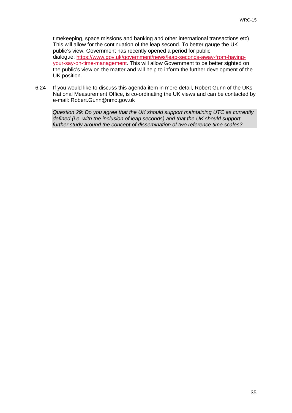timekeeping, space missions and banking and other international transactions etc). This will allow for the continuation of the leap second. To better gauge the UK public's view, Government has recently opened a period for public dialogue; [https://www.gov.uk/government/news/leap-seconds-away-from-having](https://www.gov.uk/government/news/leap-seconds-away-from-having-your-say-on-time-management)[your-say-on-time-management.](https://www.gov.uk/government/news/leap-seconds-away-from-having-your-say-on-time-management) This will allow Government to be better sighted on the public's view on the matter and will help to inform the further development of the UK position.

6.24 If you would like to discuss this agenda item in more detail, Robert Gunn of the UKs National Measurement Office, is co-ordinating the UK views and can be contacted by e-mail: Robert.Gunn@nmo.gov.uk

*Question 29: Do you agree that the UK should support maintaining UTC as currently defined (i.e. with the inclusion of leap seconds) and that the UK should support further study around the concept of dissemination of two reference time scales?*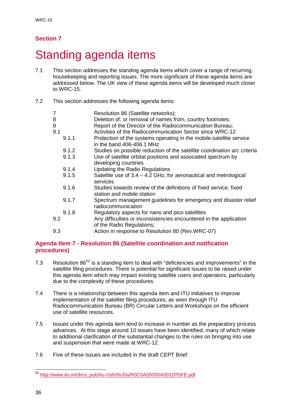### **Section 7**

## <span id="page-38-0"></span>Standing agenda items

- 7.1 This section addresses the standing agenda items which cover a range of recurring, housekeeping and reporting issues. The more significant of these agenda items are addressed below. The UK view of these agenda items will be developed much closer to WRC-15.
- 7.2 This section addresses the following agenda items:

| $\overline{7}$<br>8<br>9 | Resolution 86 (Satellite networks);<br>Deletion of, or removal of names from, country footnotes;<br>Report of the Director of the Radiocommunication Bureau; |
|--------------------------|--------------------------------------------------------------------------------------------------------------------------------------------------------------|
| 9.1                      | Activities of the Radiocommunication Sector since WRC-12                                                                                                     |
| 9.1.1                    | Protection of the systems operating in the mobile-satellite service<br>in the band 406-406.1 MHz                                                             |
| 9.1.2                    | Studies on possible reduction of the satellite coordination arc criteria                                                                                     |
| 9.1.3                    | Use of satellite orbital positions and associated spectrum by<br>developing countries                                                                        |
| 9.1.4                    | <b>Updating the Radio Regulations</b>                                                                                                                        |
| 9.1.5                    | Satellite use of $3.4 - 4.2$ GHz, for aeronautical and metrological<br>services                                                                              |
| 9.1.6                    | Studies towards review of the definitions of fixed service, fixed<br>station and mobile station                                                              |
| 9.1.7                    | Spectrum management guidelines for emergency and disaster relief<br>radiocommunication                                                                       |
| 9.1.8                    | Regulatory aspects for nano and pico satellites                                                                                                              |
| 9.2                      | Any difficulties or inconsistencies encountered in the application<br>of the Radio Regulations;                                                              |
| 9.3                      | Action in response to Resolution 80 (Rev.WRC-07)                                                                                                             |

### **Agenda Item 7 - Resolution 86 (Satellite coordination and notification procedures)**

- 7.3 Resolution 86<sup>[52](#page-38-1)</sup> is a standing item to deal with "deficiencies and improvements" in the satellite filing procedures. There is potential for significant issues to be raised under this agenda item which may impact existing satellite users and operators, particularly due to the complexity of these procedures.
- 7.4 There is a relationship between this agenda item and ITU initiatives to improve implementation of the satellite filing procedures, as seen through ITU Radiocommunication Bureau (BR) Circular Letters and Workshops on the efficient use of satellite resources.
- 7.5 Issues under this agenda item tend to increase in number as the preparatory process advances. At this stage around 10 issues have been identified, many of which relate to additional clarification of the substantial changes to the rules on bringing into use and suspension that were made at WRC-12.
- 7.6 Five of these issues are included in the draft CEPT Brief:

<span id="page-38-1"></span><sup>&</sup>lt;sup>52</sup> [http://www.itu.int/dms\\_pub/itu-r/oth/0c/0a/R0C0A00000A0032PDFE.pdf](http://www.itu.int/dms_pub/itu-r/oth/0c/0a/R0C0A00000A0032PDFE.pdf)  $\overline{a}$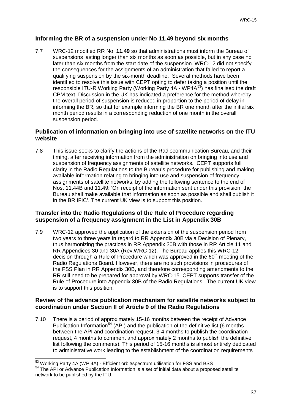#### **Informing the BR of a suspension under No 11.49 beyond six months**

7.7 WRC-12 modified RR No. **11.49** so that administrations must inform the Bureau of suspensions lasting longer than six months as soon as possible, but in any case no later than six months from the start date of the suspension. WRC-12 did not specify the consequences for the assignments of an administration that failed to report a qualifying suspension by the six-month deadline. Several methods have been identified to resolve this issue with CEPT opting to defer taking a position until the responsible ITU-R Working Party (Working Party 4A - WP4A<sup>[53](#page-39-0)</sup>) has finalised the draft CPM text. Discussion in the UK has indicated a preference for the method whereby the overall period of suspension is reduced in proportion to the period of delay in informing the BR, so that for example informing the BR one month after the initial six month period results in a corresponding reduction of one month in the overall suspension period.

#### **Publication of information on bringing into use of satellite networks on the ITU website**

7.8 This issue seeks to clarify the actions of the Radiocommunication Bureau, and their timing, after receiving information from the administration on bringing into use and suspension of frequency assignments of satellite networks. CEPT supports full clarity in the Radio Regulations to the Bureau's procedure for publishing and making available information relating to bringing into use and suspension of frequency assignments of satellite networks, by adding the following sentence to the end of Nos. 11.44B and 11.49: 'On receipt of the information sent under this provision, the Bureau shall make available that information as soon as possible and shall publish it in the BR IFIC'. The current UK view is to support this position.

#### **Transfer into the Radio Regulations of the Rule of Procedure regarding suspension of a frequency assignment in the List in Appendix 30B**

7.9 WRC-12 approved the application of the extension of the suspension period from two years to three years in regard to RR Appendix 30B via a Decision of Plenary, thus harmonizing the practices in RR Appendix 30B with those in RR Article 11 and RR Appendices 30 and 30A (Rev.WRC-12). The Bureau applies this WRC-12 decision through a Rule of Procedure which was approved in the  $60<sup>th</sup>$  meeting of the Radio Regulations Board. However, there are no such provisions in procedures of the FSS Plan in RR Appendix 30B, and therefore corresponding amendments to the RR still need to be prepared for approval by WRC-15. CEPT supports transfer of the Rule of Procedure into Appendix 30B of the Radio Regulations. The current UK view is to support this position.

#### **Review of the advance publication mechanism for satellite networks subject to coordination under Section II of Article 9 of the Radio Regulations**

7.10 There is a period of approximately 15-16 months between the receipt of Advance Publication Information<sup>[54](#page-39-1)</sup> (API) and the publication of the definitive list (6 months between the API and coordination request, 3-4 months to publish the coordination request, 4 months to comment and approximately 2 months to publish the definitive list following the comments). This period of 15-16 months is almost entirely dedicated to administrative work leading to the establishment of the coordination requirements

 $53$  Working Party 4A (WP 4A) - Efficient orbit/spectrum utilisation for FSS and BSS  $\overline{a}$ 

<span id="page-39-1"></span><span id="page-39-0"></span><sup>&</sup>lt;sup>54</sup> The API or Advance Publication Information is a set of initial data about a proposed satellite network to be published by the ITU.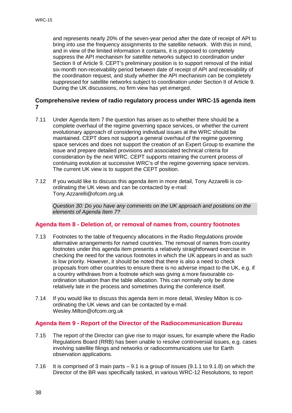and represents nearly 20% of the seven-year period after the date of receipt of API to bring into use the frequency assignments to the satellite network. With this in mind, and in view of the limited information it contains, it is proposed to completely suppress the API mechanism for satellite networks subject to coordination under Section II of Article 9. CEPT's preliminary position is to support removal of the initial six-month non-receivability period between date of receipt of API and receivability of the coordination request, and study whether the API mechanism can be completely suppressed for satellite networks subject to coordination under Section II of Article 9. During the UK discussions, no firm view has yet emerged.

#### **Comprehensive review of radio regulatory process under WRC-15 agenda item 7**

- 7.11 Under Agenda Item 7 the question has arisen as to whether there should be a complete overhaul of the regime governing space services, or whether the current evolutionary approach of considering individual issues at the WRC should be maintained. CEPT does not support a general overhaul of the regime governing space services and does not support the creation of an Expert Group to examine the issue and prepare detailed provisions and associated technical criteria for consideration by the next WRC. CEPT supports retaining the current process of continuing evolution at successive WRC's of the regime governing space services. The current UK view is to support the CEPT position.
- 7.12 If you would like to discuss this agenda item in more detail, Tony Azzarelli is coordinating the UK views and can be contacted by e-mail: Tony.Azzarelli@ofcom.org.uk

*Question 30: Do you have any comments on the UK approach and positions on the elements of Agenda Item 7?*

#### **Agenda Item 8 - Deletion of, or removal of names from, country footnotes**

- 7.13 Footnotes to the table of frequency allocations in the Radio Regulations provide alternative arrangements for named countries. The removal of names from country footnotes under this agenda item presents a relatively straightforward exercise in checking the need for the various footnotes in which the UK appears in and as such is low priority. However, it should be noted that there is also a need to check proposals from other countries to ensure there is no adverse impact to the UK, e.g. if a country withdraws from a footnote which was giving a more favourable coordination situation than the table allocation. This can normally only be done relatively late in the process and sometimes during the conference itself.
- 7.14 If you would like to discuss this agenda item in more detail, Wesley Milton is coordinating the UK views and can be contacted by e-mail: Wesley.Milton@ofcom.org.uk

#### **Agenda Item 9 - Report of the Director of the Radiocommunication Bureau**

- 7.15 The report of the Director can give rise to major issues, for example where the Radio Regulations Board (RRB) has been unable to resolve controversial issues, e.g. cases involving satellite filings and networks or radiocommunications use for Earth observation applications.
- 7.16 It is comprised of 3 main parts 9.1 is a group of issues (9.1.1 to 9.1.8) on which the Director of the BR was specifically tasked, in various WRC-12 Resolutions, to report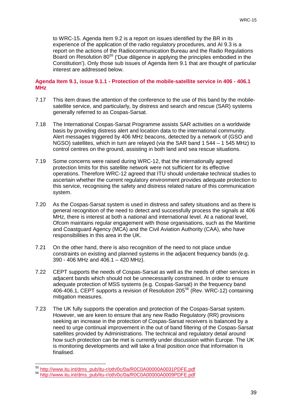to WRC-15. Agenda Item 9.2 is a report on issues identified by the BR in its experience of the application of the radio regulatory procedures, and AI 9.3 is a report on the actions of the Radiocommunication Bureau and the Radio Regulations Board on Resolution 80<sup>[55](#page-41-0)</sup> ('Due diligence in applying the principles embodied in the Constitution'). Only those sub issues of Agenda Item 9.1 that are thought of particular interest are addressed below.

#### **Agenda Item 9.1, issue 9.1.1 - Protection of the mobile-satellite service in 406 - 406.1 MHz**

- 7.17 This item draws the attention of the conference to the use of this band by the mobilesatellite service, and particularly, by distress and search and rescue (SAR) systems generally referred to as Cospas-Sarsat.
- 7.18 The International Cospas-Sarsat Programme assists SAR activities on a worldwide basis by providing distress alert and location data to the international community. Alert messages triggered by 406 MHz beacons, detected by a network of (GSO and NGSO) satellites, which in turn are relayed (via the SAR band 1 544 – 1 545 MHz) to control centres on the ground, assisting in both land and sea rescue situations.
- 7.19 Some concerns were raised during WRC-12, that the internationally agreed protection limits for this satellite network were not sufficient for its effective operations. Therefore WRC-12 agreed that ITU should undertake technical studies to ascertain whether the current regulatory environment provides adequate protection to this service, recognising the safety and distress related nature of this communication system.
- 7.20 As the Cospas-Sarsat system is used in distress and safety situations and as there is general recognition of the need to detect and successfully process the signals at 406 MHz, there is interest at both a national and international level. At a national level, Ofcom maintains regular engagement with those organisations, such as the Maritime and Coastguard Agency (MCA) and the Civil Aviation Authority (CAA), who have responsibilities in this area in the UK.
- 7.21 On the other hand, there is also recognition of the need to not place undue constraints on existing and planned systems in the adjacent frequency bands (e.g. 390 - 406 MHz and 406.1 – 420 MHz).
- 7.22 CEPT supports the needs of Cospas-Sarsat as well as the needs of other services in adjacent bands which should not be unnecessarily constrained. In order to ensure adequate protection of MSS systems (e.g. Cospas-Sarsat) in the frequency band 406-406.1, CEPT supports a revision of Resolution 205[56](#page-41-1) (Rev. WRC-12) containing mitigation measures.
- 7.23 The UK fully supports the operation and protection of the Cospas-Sarsat system. However, we are keen to ensure that any new Radio Regulatory (RR) provisions seeking an increase in the protection of Cospas-Sarsat receivers is balanced by a need to urge continual improvement in the out of band filtering of the Cospas-Sarsat satellites provided by Administrations. The technical and regulatory detail around how such protection can be met is currently under discussion within Europe. The UK is monitoring developments and will take a final position once that information is finalised.

 $\overline{a}$ 

<sup>55</sup> [http://www.itu.int/dms\\_pub/itu-r/oth/0c/0a/R0C0A00000A0031PDFE.pdf](http://www.itu.int/dms_pub/itu-r/oth/0c/0a/R0C0A00000A0031PDFE.pdf)

<span id="page-41-1"></span><span id="page-41-0"></span><sup>56</sup> [http://www.itu.int/dms\\_pub/itu-r/oth/0c/0a/R0C0A00000A0009PDFE.pdf](http://www.itu.int/dms_pub/itu-r/oth/0c/0a/R0C0A00000A0009PDFE.pdf)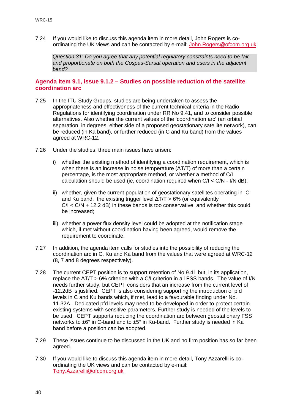7.24 If you would like to discuss this agenda item in more detail, John Rogers is coordinating the UK views and can be contacted by e-mail: [John.Rogers@ofcom.org.uk](mailto:John.Rogers@ofcom.org.uk)

*Question 31: Do you agree that any potential regulatory constraints need to be fair and proportionate on both the Cospas-Sarsat operation and users in the adjacent band?*

#### **Agenda Item 9.1, issue 9.1.2 – Studies on possible reduction of the satellite coordination arc**

- 7.25 In the ITU Study Groups, studies are being undertaken to assess the appropriateness and effectiveness of the current technical criteria in the Radio Regulations for identifying coordination under RR No 9.41, and to consider possible alternatives. Also whether the current values of the 'coordination arc' (an orbital separation, in degrees, either side of a proposed geostationary satellite network), can be reduced (in Ka band), or further reduced (in C and Ku band) from the values agreed at WRC-12.
- 7.26 Under the studies, three main issues have arisen:
	- i) whether the existing method of identifying a coordination requirement, which is when there is an increase in noise temperature ( $ΔT/T$ ) of more than a certain percentage, is the most appropriate method, or whether a method of C/I calculation should be used (ie, coordination required when  $C/I < C/N$  - I/N dB);
	- ii) whether, given the current population of geostationary satellites operating in C and Ku band, the existing trigger level  $\Delta T/T > 6\%$  (or equivalently  $C/I < C/N + 12.2$  dB) in these bands is too conservative, and whether this could be increased;
	- iii) whether a power flux density level could be adopted at the notification stage which, if met without coordination having been agreed, would remove the requirement to coordinate.
- 7.27 In addition, the agenda item calls for studies into the possibility of reducing the coordination arc in C, Ku and Ka band from the values that were agreed at WRC-12 (8, 7 and 8 degrees respectively).
- 7.28 The current CEPT position is to support retention of No 9.41 but, in its application, replace the ΔT/T > 6% criterion with a C/I criterion in all FSS bands. The value of I/N needs further study, but CEPT considers that an increase from the current level of -12.2dB is justified. CEPT is also considering supporting the introduction of pfd levels in C and Ku bands which, if met, lead to a favourable finding under No. 11.32A. Dedicated pfd levels may need to be developed in order to protect certain existing systems with sensitive parameters. Further study is needed of the levels to be used. CEPT supports reducing the coordination arc between geostationary FSS networks to  $\pm 6^{\circ}$  in C-band and to  $\pm 5^{\circ}$  in Ku-band. Further study is needed in Ka band before a position can be adopted.
- 7.29 These issues continue to be discussed in the UK and no firm position has so far been agreed.
- 7.30 If you would like to discuss this agenda item in more detail, Tony Azzarelli is coordinating the UK views and can be contacted by e-mail: [Tony.Azzarelli@ofcom.org.uk](mailto:Tony.Azzarelli@ofcom.org.uk)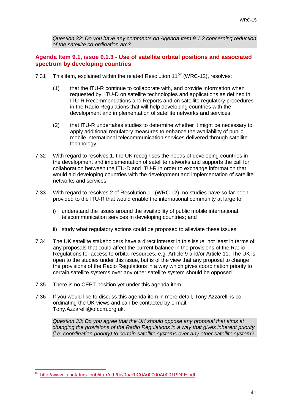*Question 32: Do you have any comments on Agenda Item 9.1.2 concerning reduction of the satellite co-ordination arc?*

#### **Agenda Item 9.1, issue 9.1.3 - Use of satellite orbital positions and associated spectrum by developing countries**

- 7.31 This item, explained within the related Resolution  $11^{57}$  $11^{57}$  $11^{57}$  (WRC-12), resolves:
	- (1) that the ITU-R continue to collaborate with, and provide information when requested by, ITU-D on satellite technologies and applications as defined in ITU-R Recommendations and Reports and on satellite regulatory procedures in the Radio Regulations that will help developing countries with the development and implementation of satellite networks and services;
	- (2) that ITU-R undertakes studies to determine whether it might be necessary to apply additional regulatory measures to enhance the availability of public mobile international telecommunication services delivered through satellite technology.
- 7.32 With regard to resolves 1, the UK recognises the needs of developing countries in the development and implementation of satellite networks and supports the call for collaboration between the ITU-D and ITU-R in order to exchange information that would aid developing countries with the development and implementation of satellite networks and services.
- 7.33 With regard to resolves 2 of Resolution 11 (WRC-12), no studies have so far been provided to the ITU-R that would enable the international community at large to:
	- i) understand the issues around the availability of public mobile international telecommunication services in developing countries; and
	- ii) study what regulatory actions could be proposed to alleviate these issues.
- 7.34 The UK satellite stakeholders have a direct interest in this issue, not least in terms of any proposals that could affect the current balance in the provisions of the Radio Regulations for access to orbital resources, e.g. Article 9 and/or Article 11. The UK is open to the studies under this issue, but is of the view that any proposal to change the provisions of the Radio Regulations in a way which gives coordination priority to certain satellite systems over any other satellite system should be opposed.
- 7.35 There is no CEPT position yet under this agenda item.
- 7.36 If you would like to discuss this agenda item in more detail, Tony Azzarelli is coordinating the UK views and can be contacted by e-mail: Tony.Azzarelli@ofcom.org.uk.

*Question 33: Do you agree that the UK should oppose any proposal that aims at changing the provisions of the Radio Regulations in a way that gives inherent priority (i.e. coordination priority) to certain satellite systems over any other satellite system?*

<span id="page-43-0"></span><sup>&</sup>lt;sup>57</sup> [http://www.itu.int/dms\\_pub/itu-r/oth/0c/0a/R0C0A00000A0001PDFE.pdf](http://www.itu.int/dms_pub/itu-r/oth/0c/0a/R0C0A00000A0001PDFE.pdf)  $\overline{a}$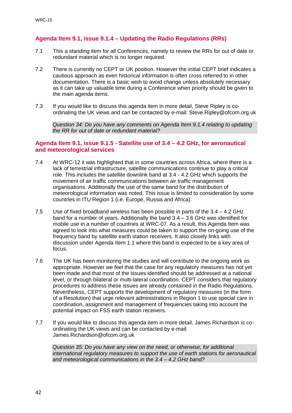#### **Agenda Item 9.1, issue 9.1.4 – Updating the Radio Regulations (RRs)**

- 7.1 This a standing item for all Conferences, namely to review the RRs for out of date or redundant material which is no longer required.
- 7.2 There is currently no CEPT or UK position. However the initial CEPT brief indicates a cautious approach as even historical information is often cross referred to in other documentation. There is a basic wish to avoid change unless absolutely necessary as it can take up valuable time during a Conference when priority should be given to the main agenda items.
- 7.3 If you would like to discuss this agenda item in more detail, Steve Ripley is coordinating the UK views and can be contacted by e-mail: Steve.Ripley@ofcom.org.uk

*Question 34: Do you have any comments on Agenda Item 9.1.4 relating to updating the RR for out of date or redundant material?*

#### **Agenda Item 9.1, issue 9.1.5 - Satellite use of 3.4 – 4.2 GHz, for aeronautical and meteorological services**

- 7.4 At WRC-12 it was highlighted that in some countries across Africa, where there is a lack of terrestrial infrastructure, satellite communications continue to play a critical role. This includes the satellite downlink band at 3.4 - 4.2 GHz which supports the movement of air traffic communications between air traffic management organisations. Additionally the use of the same band for the distribution of meteorological information was noted. This issue is limited to consideration by some countries in ITU Region 1 (i.e. Europe, Russia and Africa).
- 7.5 Use of fixed broadband wireless has been possible in parts of the 3.4 4.2 GHz band for a number of years. Additionally the band 3.4 – 3.6 GHz was identified for mobile use in a number of countries at WRC-07. As a result, this Agenda Item was agreed to look into what measures could be taken to support the on-going use of the frequency band by satellite earth station receivers. It also closely links with discussion under Agenda Item 1.1 where this band is expected to be a key area of focus.
- 7.6 The UK has been monitoring the studies and will contribute to the ongoing work as appropriate. However we feel that the case for any regulatory measures has not yet been made and that most of the issues identified should be addressed at a national level, or through bilateral or multi-lateral coordination. CEPT considers that regulatory procedures to address these issues are already contained in the Radio Regulations. Nevertheless, CEPT supports the development of regulatory measures (in the form of a Resolution) that urge relevant administrations in Region 1 to use special care in coordination, assignment and management of frequencies taking into account the potential impact on FSS earth station receivers.
- 7.7 If you would like to discuss this agenda item in more detail, James Richardson is coordinating the UK views and can be contacted by e-mail: James.Richardson@ofcom.org.uk

*Question 35: Do you have any view on the need, or otherwise, for additional international regulatory measures to support the use of earth stations for aeronautical and meteorological communications in the 3.4 – 4.2 GHz band?*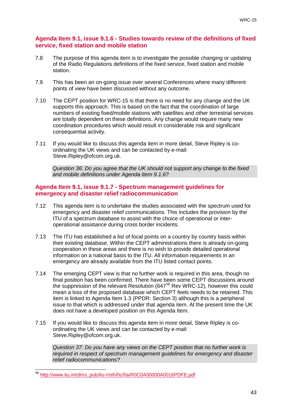#### **Agenda Item 9.1, issue 9.1.6 - Studies towards review of the definitions of fixed service, fixed station and mobile station**

- 7.8 The purpose of this agenda item is to investigate the possible changing or updating of the Radio Regulations definitions of the fixed service, fixed station and mobile station.
- 7.9 This has been an on-going issue over several Conferences where many different points of view have been discussed without any outcome.
- 7.10 The CEPT position for WRC-15 is that there is no need for any change and the UK supports this approach. This is based on the fact that the coordination of large numbers of existing fixed/mobile stations with satellites and other terrestrial services are totally dependent on these definitions. Any change would require many new coordination procedures which would result in considerable risk and significant consequential activity.
- 7.11 If you would like to discuss this agenda item in more detail, Steve Ripley is coordinating the UK views and can be contacted by e-mail: Steve.Ripley@ofcom.org.uk.

*Question 36: Do you agree that the UK should not support any change to the fixed and mobile definitions under Agenda Item 9.1.6?*

#### **Agenda Item 9.1, issue 9.1.7 - Spectrum management guidelines for emergency and disaster relief radiocommunication**

- 7.12 This agenda item is to undertake the studies associated with the spectrum used for emergency and disaster relief communications. This includes the provision by the ITU of a spectrum database to assist with the choice of operational or interoperational assistance during cross border incidents.
- 7.13 The ITU has established a list of focal points on a country by country basis within their existing database. Within the CEPT administrations there is already on-going cooperation in these areas and there is no wish to provide detailed operational information on a national basis to the ITU. All information requirements in an emergency are already available from the ITU listed contact points.
- 7.14 The emerging CEPT view is that no further work is required in this area, though no final position has been confirmed. There have been some CEPT discussions around the suppression of the relevant Resolution (647[58](#page-45-0) Rev WRC-12), however this could mean a loss of the proposed database which CEPT feels needs to be retained. This item is linked to Agenda Item 1.3 (PPDR: Section 3) although this is a peripheral issue to that which is addressed under that agenda item. At the present time the UK does not have a developed position on this Agenda Item.
- 7.15 If you would like to discuss this agenda item in more detail, Steve Ripley is coordinating the UK views and can be contacted by e-mail: Steve.Ripley@ofcom.org.uk.

*Question 37: Do you have any views on the CEPT position that no further work is required in respect of spectrum management guidelines for emergency and disaster relief radiocommunications?*

<span id="page-45-0"></span><sup>&</sup>lt;sup>58</sup> [http://www.itu.int/dms\\_pub/itu-r/oth/0c/0a/R0C0A00000A0016PDFE.pdf](http://www.itu.int/dms_pub/itu-r/oth/0c/0a/R0C0A00000A0016PDFE.pdf)  $\overline{a}$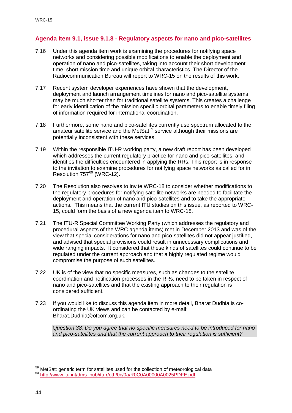#### **Agenda Item 9.1, issue 9.1.8 - Regulatory aspects for nano and pico-satellites**

- 7.16 Under this agenda item work is examining the procedures for notifying space networks and considering possible modifications to enable the deployment and operation of nano and pico-satellites, taking into account their short development time, short mission time and unique orbital characteristics. The Director of the Radiocommunication Bureau will report to WRC-15 on the results of this work.
- 7.17 Recent system developer experiences have shown that the development, deployment and launch arrangement timelines for nano and pico-satellite systems may be much shorter than for traditional satellite systems. This creates a challenge for early identification of the mission specific orbital parameters to enable timely filing of information required for international coordination.
- 7.18 Furthermore, some nano and pico-satellites currently use spectrum allocated to the amateur satellite service and the MetSat<sup>[59](#page-46-0)</sup> service although their missions are potentially inconsistent with these services.
- 7.19 Within the responsible ITU-R working party, a new draft report has been developed which addresses the current regulatory practice for nano and pico-satellites, and identifies the difficulties encountered in applying the RRs. This report is in response to the invitation to examine procedures for notifying space networks as called for in Resolution  $757^{60}$  $757^{60}$  $757^{60}$  (WRC-12).
- 7.20 The Resolution also resolves to invite WRC-18 to consider whether modifications to the regulatory procedures for notifying satellite networks are needed to facilitate the deployment and operation of nano and pico-satellites and to take the appropriate actions. This means that the current ITU studies on this issue, as reported to WRC-15, could form the basis of a new agenda item to WRC-18.
- 7.21 The ITU-R Special Committee Working Party (which addresses the regulatory and procedural aspects of the WRC agenda items) met in December 2013 and was of the view that special considerations for nano and pico-satellites did not appear justified, and advised that special provisions could result in unnecessary complications and wide ranging impacts. It considered that these kinds of satellites could continue to be regulated under the current approach and that a highly regulated regime would compromise the purpose of such satellites.
- 7.22 UK is of the view that no specific measures, such as changes to the satellite coordination and notification processes in the RRs, need to be taken in respect of nano and pico-satellites and that the existing approach to their regulation is considered sufficient.
- 7.23 If you would like to discuss this agenda item in more detail, Bharat Dudhia is coordinating the UK views and can be contacted by e-mail: Bharat.Dudhia@ofcom.org.uk.

*Question 38: Do you agree that no specific measures need to be introduced for nano and pico-satellites and that the current approach to their regulation is sufficient?*

<sup>&</sup>lt;sup>59</sup> MetSat: generic term for satellites used for the collection of meteorological data

<span id="page-46-1"></span><span id="page-46-0"></span><sup>60</sup> [http://www.itu.int/dms\\_pub/itu-r/oth/0c/0a/R0C0A00000A0025PDFE.pdf](http://www.itu.int/dms_pub/itu-r/oth/0c/0a/R0C0A00000A0025PDFE.pdf)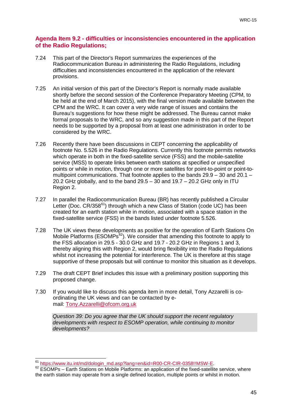#### **Agenda Item 9.2 - difficulties or inconsistencies encountered in the application of the Radio Regulations;**

- 7.24 This part of the Director's Report summarizes the experiences of the Radiocommunication Bureau in administering the Radio Regulations, including difficulties and inconsistencies encountered in the application of the relevant provisions.
- 7.25 An initial version of this part of the Director's Report is normally made available shortly before the second session of the Conference Preparatory Meeting (CPM, to be held at the end of March 2015), with the final version made available between the CPM and the WRC. It can cover a very wide range of issues and contains the Bureau's suggestions for how these might be addressed. The Bureau cannot make formal proposals to the WRC, and so any suggestion made in this part of the Report needs to be supported by a proposal from at least one administration in order to be considered by the WRC.
- 7.26 Recently there have been discussions in CEPT concerning the applicability of footnote No. 5.526 in the Radio Regulations. Currently this footnote permits networks which operate in both in the fixed-satellite service (FSS) and the mobile-satellite service (MSS) to operate links between earth stations at specified or unspecified points or while in motion, through one or more satellites for point-to-point or point-tomultipoint communications. That footnote applies to the bands 29.9 – 30 and 20.1 – 20.2 GHz globally, and to the band  $29.5 - 30$  and  $19.7 - 20.2$  GHz only in ITU Region 2.
- 7.27 In parallel the Radiocommunication Bureau (BR) has recently published a Circular Letter (Doc.  $CR/358^{61}$ ) through which a new Class of Station (code UC) has been created for an earth station while in motion, associated with a space station in the fixed-satellite service (FSS) in the bands listed under footnote 5.526.
- 7.28 The UK views these developments as positive for the operation of Earth Stations On Mobile Platforms ( $ESOMPs^{62}$  $ESOMPs^{62}$  $ESOMPs^{62}$ ). We consider that amending this footnote to apply to the FSS allocation in 29.5 - 30.0 GHz and 19.7 - 20.2 GHz in Regions 1 and 3, thereby aligning this with Region 2, would bring flexibility into the Radio Regulations whilst not increasing the potential for interference. The UK is therefore at this stage supportive of these proposals but will continue to monitor this situation as it develops.
- 7.29 The draft CEPT Brief includes this issue with a preliminary position supporting this proposed change.
- 7.30 If you would like to discuss this agenda item in more detail, Tony Azzarelli is coordinating the UK views and can be contacted by email: [Tony.Azzarelli@ofcom.org.uk](mailto:Tony.Azzarelli@ofcom.org.uk)

*Question 39: Do you agree that the UK should support the recent regulatory developments with respect to ESOMP operation, while continuing to monitor developments?*

<span id="page-47-0"></span><sup>&</sup>lt;sup>61</sup> https://www.itu.int/md/dologin\_md.asp?lang=en&id=R00-CR-CIR-0358!!MSW-E.

<span id="page-47-1"></span><sup>62</sup> ESOMPs – Earth Stations on Mobile Platforms: an application of the fixed-satellite service, where the earth station may operate from a single defined location, multiple points or whilst in motion.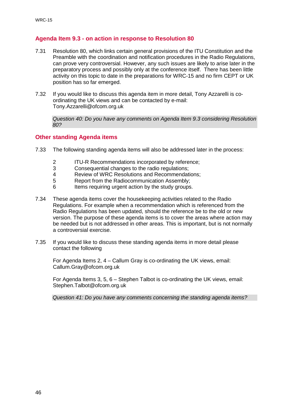#### **Agenda Item 9.3 - on action in response to Resolution 80**

- 7.31 Resolution 80, which links certain general provisions of the ITU Constitution and the Preamble with the coordination and notification procedures in the Radio Regulations, can prove very controversial. However, any such issues are likely to arise later in the preparatory process and possibly only at the conference itself. There has been little activity on this topic to date in the preparations for WRC-15 and no firm CEPT or UK position has so far emerged.
- 7.32 If you would like to discuss this agenda item in more detail, Tony Azzarelli is coordinating the UK views and can be contacted by e-mail: Tony.Azzarelli@ofcom.org.uk

*Question 40: Do you have any comments on Agenda Item 9.3 considering Resolution 80?*

#### **Other standing Agenda items**

- 7.33 The following standing agenda items will also be addressed later in the process:
	- 2 ITU-R Recommendations incorporated by reference;
	- 3 Consequential changes to the radio regulations;<br>4 Review of WRC Resolutions and Recommendat
	- 4 Review of WRC Resolutions and Recommendations;<br>5 Report from the Radiocommunication Assembly:
	- 5 Report from the Radiocommunication Assembly;<br>6 Items requiring urgent action by the study groups
	- Items requiring urgent action by the study groups.
- 7.34 These agenda items cover the housekeeping activities related to the Radio Regulations. For example when a recommendation which is referenced from the Radio Regulations has been updated, should the reference be to the old or new version. The purpose of these agenda items is to cover the areas where action may be needed but is not addressed in other areas. This is important, but is not normally a controversial exercise.
- 7.35 If you would like to discuss these standing agenda items in more detail please contact the following

For Agenda Items 2, 4 – Callum Gray is co-ordinating the UK views, email: Callum.Gray@ofcom.org.uk

For Agenda Items 3, 5, 6 – Stephen Talbot is co-ordinating the UK views, email: Stephen.Talbot@ofcom.org.uk

*Question 41: Do you have any comments concerning the standing agenda items?*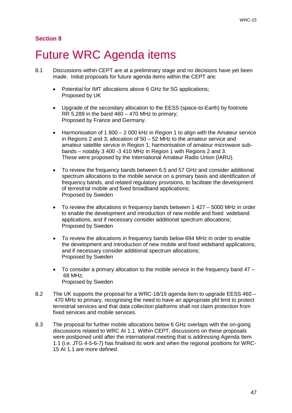#### **Section 8**

## <span id="page-49-0"></span>**Future WRC Agenda items**

- 8.1 Discussions within CEPT are at a preliminary stage and no decisions have yet been made. Initial proposals for future agenda items within the CEPT are:
	- Potential for IMT allocations above 6 GHz for 5G applications; Proposed by UK
	- Upgrade of the secondary allocation to the EESS (space-to-Earth) by footnote RR  $5.289$  in the band  $460 - 470$  MHz to primary; Proposed by France and Germany.
	- Harmonisation of 1 800 2 000 kHz in Region 1 to align with the Amateur service in Regions 2 and 3; allocation of 50 – 52 MHz to the amateur service and amateur satellite service in Region 1; harmonisation of amateur microwave subbands – notably 3 400 -3 410 MHz in Region 1 with Regions 2 and 3. These were proposed by the International Amateur Radio Union (IARU).
	- To review the frequency bands between 6.5 and 57 GHz and consider additional spectrum allocations to the mobile service on a primary basis and identification of frequency bands, and related regulatory provisions, to facilitate the development of terrestrial mobile and fixed broadband applications; Proposed by Sweden
	- To review the allocations in frequency bands between 1 427 5000 MHz in order to enable the development and introduction of new mobile and fixed wideband applications, and if necessary consider additional spectrum allocations; Proposed by Sweden
	- To review the allocations in frequency bands below 694 MHz in order to enable the development and introduction of new mobile and fixed wideband applications, and if necessary consider additional spectrum allocations; Proposed by Sweden
	- To consider a primary allocation to the mobile service in the frequency band 47 68 MHz; Proposed by Sweden
- 8.2 The UK supports the proposal for a WRC-18/19 agenda item to upgrade EESS 460 470 MHz to primary, recognising the need to have an appropriate pfd limit to protect terrestrial services and that data collection platforms shall not claim protection from fixed services and mobile services.
- 8.3 The proposal for further mobile allocations below 6 GHz overlaps with the on-going discussions related to WRC AI 1.1. Within CEPT, discussions on these proposals were postponed until after the international meeting that is addressing Agenda Item 1.1 (i.e. JTG 4-5-6-7) has finalised its work and when the regional positions for WRC-15 AI 1.1 are more defined.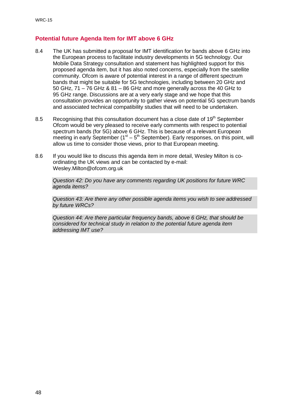#### **Potential future Agenda Item for IMT above 6 GHz**

- 8.4 The UK has submitted a proposal for IMT identification for bands above 6 GHz into the European process to facilitate industry developments in 5G technology. Our Mobile Data Strategy consultation and statement has highlighted support for this proposed agenda item, but it has also noted concerns, especially from the satellite community. Ofcom is aware of potential interest in a range of different spectrum bands that might be suitable for 5G technologies, including between 20 GHz and 50 GHz, 71 – 76 GHz & 81 – 86 GHz and more generally across the 40 GHz to 95 GHz range. Discussions are at a very early stage and we hope that this consultation provides an opportunity to gather views on potential 5G spectrum bands and associated technical compatibility studies that will need to be undertaken.
- 8.5 Recognising that this consultation document has a close date of  $19<sup>th</sup>$  September Ofcom would be very pleased to receive early comments with respect to potential spectrum bands (for 5G) above 6 GHz. This is because of a relevant European meeting in early September ( $1<sup>st</sup> - 5<sup>th</sup>$  September). Early responses, on this point, will allow us time to consider those views, prior to that European meeting.
- 8.6 If you would like to discuss this agenda item in more detail, Wesley Milton is coordinating the UK views and can be contacted by e-mail: Wesley.Milton@ofcom.org.uk

*Question 42: Do you have any comments regarding UK positions for future WRC agenda items?*

*Question 43: Are there any other possible agenda items you wish to see addressed by future WRCs?*

*Question 44: Are there particular frequency bands, above 6 GHz, that should be considered for technical study in relation to the potential future agenda item addressing IMT use?*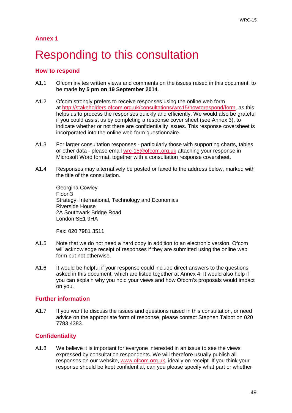## <span id="page-51-0"></span>Responding to this consultation

#### **How to respond**

- A1.1 Ofcom invites written views and comments on the issues raised in this document, to be made **by 5 pm on 19 September 2014**.
- A1.2 Ofcom strongly prefers to receive responses using the online web form at [http://stakeholders.ofcom.org.uk/consultations/wrc15/howtorespond/form,](http://stakeholders.ofcom.org.uk/consultations/wrc15/howtorespond/form) as this helps us to process the responses quickly and efficiently. We would also be grateful if you could assist us by completing a response cover sheet (see Annex 3), to indicate whether or not there are confidentiality issues. This response coversheet is incorporated into the online web form questionnaire.
- A1.3 For larger consultation responses particularly those with supporting charts, tables or other data - please email [wrc-15@ofcom.org.uk](mailto:wrc-15@ofcom.org.uk) attaching your response in Microsoft Word format, together with a consultation response coversheet.
- A1.4 Responses may alternatively be posted or faxed to the address below, marked with the title of the consultation.

Georgina Cowley Floor 3 Strategy, International, Technology and Economics Riverside House 2A Southwark Bridge Road London SE1 9HA

Fax: 020 7981 3511

- A1.5 Note that we do not need a hard copy in addition to an electronic version. Ofcom will acknowledge receipt of responses if they are submitted using the online web form but not otherwise.
- A1.6 It would be helpful if your response could include direct answers to the questions asked in this document, which are listed together at Annex 4. It would also help if you can explain why you hold your views and how Ofcom's proposals would impact on you.

#### **Further information**

A1.7 If you want to discuss the issues and questions raised in this consultation, or need advice on the appropriate form of response, please contact Stephen Talbot on 020 7783 4383.

#### **Confidentiality**

A1.8 We believe it is important for everyone interested in an issue to see the views expressed by consultation respondents. We will therefore usually publish all responses on our website, [www.ofcom.org.uk,](http://www.ofcom.org.uk/) ideally on receipt. If you think your response should be kept confidential, can you please specify what part or whether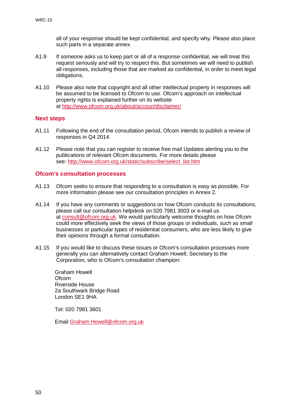all of your response should be kept confidential, and specify why. Please also place such parts in a separate annex.

- A1.9 If someone asks us to keep part or all of a response confidential, we will treat this request seriously and will try to respect this. But sometimes we will need to publish all responses, including those that are marked as confidential, in order to meet legal obligations.
- A1.10 Please also note that copyright and all other intellectual property in responses will be assumed to be licensed to Ofcom to use. Ofcom's approach on intellectual property rights is explained further on its website at<http://www.ofcom.org.uk/about/accoun/disclaimer/>

#### **Next steps**

- A1.11 Following the end of the consultation period, Ofcom intends to publish a review of responses in Q4 2014.
- A1.12 Please note that you can register to receive free mail Updates alerting you to the publications of relevant Ofcom documents. For more details please see: [http://www.ofcom.org.uk/static/subscribe/select\\_list.htm](http://www.ofcom.org.uk/static/subscribe/select_list.htm)

#### **Ofcom's consultation processes**

- A1.13 Ofcom seeks to ensure that responding to a consultation is easy as possible. For more information please see our consultation principles in Annex 2.
- A1.14 If you have any comments or suggestions on how Ofcom conducts its consultations, please call our consultation helpdesk on 020 7981 3003 or e-mail us at [consult@ofcom.org.uk.](mailto:consult@ofcom.org.uk) We would particularly welcome thoughts on how Ofcom could more effectively seek the views of those groups or individuals, such as small businesses or particular types of residential consumers, who are less likely to give their opinions through a formal consultation.
- A1.15 If you would like to discuss these issues or Ofcom's consultation processes more generally you can alternatively contact Graham Howell, Secretary to the Corporation, who is Ofcom's consultation champion:

Graham Howell **Ofcom** Riverside House 2a Southwark Bridge Road London SE1 9HA

Tel: 020 7981 3601

Email [Graham.Howell@ofcom.org.uk](mailto:Graham.Howell@ofcom.org.uk)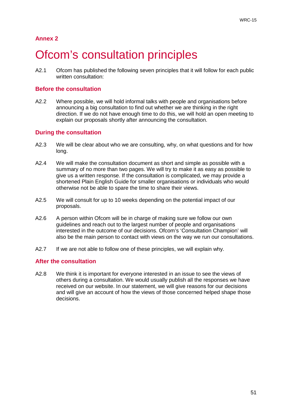## <span id="page-53-0"></span>**Ofcom's consultation principles**

A2.1 Ofcom has published the following seven principles that it will follow for each public written consultation:

#### **Before the consultation**

A2.2 Where possible, we will hold informal talks with people and organisations before announcing a big consultation to find out whether we are thinking in the right direction. If we do not have enough time to do this, we will hold an open meeting to explain our proposals shortly after announcing the consultation.

#### **During the consultation**

- A2.3 We will be clear about who we are consulting, why, on what questions and for how long.
- A2.4 We will make the consultation document as short and simple as possible with a summary of no more than two pages. We will try to make it as easy as possible to give us a written response. If the consultation is complicated, we may provide a shortened Plain English Guide for smaller organisations or individuals who would otherwise not be able to spare the time to share their views.
- A2.5 We will consult for up to 10 weeks depending on the potential impact of our proposals.
- A2.6 A person within Ofcom will be in charge of making sure we follow our own guidelines and reach out to the largest number of people and organisations interested in the outcome of our decisions. Ofcom's 'Consultation Champion' will also be the main person to contact with views on the way we run our consultations.
- A2.7 If we are not able to follow one of these principles, we will explain why.

#### **After the consultation**

A2.8 We think it is important for everyone interested in an issue to see the views of others during a consultation. We would usually publish all the responses we have received on our website. In our statement, we will give reasons for our decisions and will give an account of how the views of those concerned helped shape those decisions.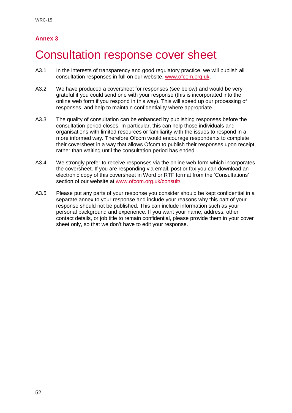## <span id="page-54-0"></span>3 Consultation response cover sheet

- A3.1 In the interests of transparency and good regulatory practice, we will publish all consultation responses in full on our website, [www.ofcom.org.uk.](http://www.ofcom.org.uk/)
- A3.2 We have produced a coversheet for responses (see below) and would be very grateful if you could send one with your response (this is incorporated into the online web form if you respond in this way). This will speed up our processing of responses, and help to maintain confidentiality where appropriate.
- A3.3 The quality of consultation can be enhanced by publishing responses before the consultation period closes. In particular, this can help those individuals and organisations with limited resources or familiarity with the issues to respond in a more informed way. Therefore Ofcom would encourage respondents to complete their coversheet in a way that allows Ofcom to publish their responses upon receipt, rather than waiting until the consultation period has ended.
- A3.4 We strongly prefer to receive responses via the online web form which incorporates the coversheet. If you are responding via email, post or fax you can download an electronic copy of this coversheet in Word or RTF format from the 'Consultations' section of our website at [www.ofcom.org.uk/consult/.](http://www.ofcom.org.uk/consult/)
- A3.5 Please put any parts of your response you consider should be kept confidential in a separate annex to your response and include your reasons why this part of your response should not be published. This can include information such as your personal background and experience. If you want your name, address, other contact details, or job title to remain confidential, please provide them in your cover sheet only, so that we don't have to edit your response.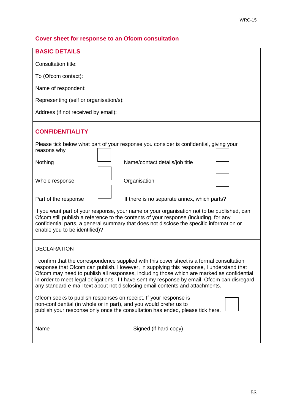### **Cover sheet for response to an Ofcom consultation**

| <b>BASIC DETAILS</b>                                                                                                                                                                                                                                                                                                                                                                                                                                                |  |  |
|---------------------------------------------------------------------------------------------------------------------------------------------------------------------------------------------------------------------------------------------------------------------------------------------------------------------------------------------------------------------------------------------------------------------------------------------------------------------|--|--|
| Consultation title:                                                                                                                                                                                                                                                                                                                                                                                                                                                 |  |  |
| To (Ofcom contact):                                                                                                                                                                                                                                                                                                                                                                                                                                                 |  |  |
| Name of respondent:                                                                                                                                                                                                                                                                                                                                                                                                                                                 |  |  |
| Representing (self or organisation/s):                                                                                                                                                                                                                                                                                                                                                                                                                              |  |  |
| Address (if not received by email):                                                                                                                                                                                                                                                                                                                                                                                                                                 |  |  |
| <b>CONFIDENTIALITY</b>                                                                                                                                                                                                                                                                                                                                                                                                                                              |  |  |
| Please tick below what part of your response you consider is confidential, giving your<br>reasons why                                                                                                                                                                                                                                                                                                                                                               |  |  |
| Nothing<br>Name/contact details/job title                                                                                                                                                                                                                                                                                                                                                                                                                           |  |  |
| Organisation<br>Whole response                                                                                                                                                                                                                                                                                                                                                                                                                                      |  |  |
| Part of the response<br>If there is no separate annex, which parts?                                                                                                                                                                                                                                                                                                                                                                                                 |  |  |
| If you want part of your response, your name or your organisation not to be published, can<br>Ofcom still publish a reference to the contents of your response (including, for any<br>confidential parts, a general summary that does not disclose the specific information or<br>enable you to be identified)?                                                                                                                                                     |  |  |
| <b>DECLARATION</b>                                                                                                                                                                                                                                                                                                                                                                                                                                                  |  |  |
| I confirm that the correspondence supplied with this cover sheet is a formal consultation<br>response that Ofcom can publish. However, in supplying this response, I understand that<br>Ofcom may need to publish all responses, including those which are marked as confidential,<br>in order to meet legal obligations. If I have sent my response by email, Ofcom can disregard<br>any standard e-mail text about not disclosing email contents and attachments. |  |  |
| Ofcom seeks to publish responses on receipt. If your response is<br>non-confidential (in whole or in part), and you would prefer us to<br>publish your response only once the consultation has ended, please tick here.                                                                                                                                                                                                                                             |  |  |
| Signed (if hard copy)<br>Name                                                                                                                                                                                                                                                                                                                                                                                                                                       |  |  |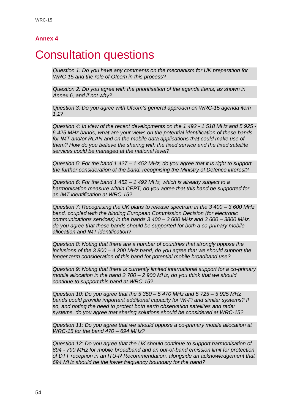### <span id="page-56-0"></span>**Consultation questions**

*Question 1: Do you have any comments on the mechanism for UK preparation for WRC-15 and the role of Ofcom in this process?*

*Question 2: Do you agree with the prioritisation of the agenda items, as shown in Annex 6, and if not why?*

*Question 3: Do you agree with Ofcom's general approach on WRC-15 agenda item 1.1?*

*Question 4: In view of the recent developments on the 1 492 - 1 518 MHz and 5 925 - 6 425 MHz bands, what are your views on the potential identification of these bands for IMT and/or RLAN and on the mobile data applications that could make use of them? How do you believe the sharing with the fixed service and the fixed satellite services could be managed at the national level?*

*Question 5: For the band 1 427 – 1 452 MHz, do you agree that it is right to support the further consideration of the band, recognising the Ministry of Defence interest?*

*Question 6: For the band 1 452 – 1 492 MHz, which is already subject to a harmonisation measure within CEPT, do you agree that this band be supported for an IMT identification at WRC-15?*

*Question 7: Recognising the UK plans to release spectrum in the 3 400 – 3 600 MHz band, coupled with the binding European Commission Decision (for electronic communications services) in the bands 3 400 – 3 600 MHz and 3 600 – 3800 MHz, do you agree that these bands should be supported for both a co-primary mobile allocation and IMT identification?*

*Question 8: Noting that there are a number of countries that strongly oppose the inclusions of the 3 800 – 4 200 MHz band, do you agree that we should support the longer term consideration of this band for potential mobile broadband use?*

*Question 9: Noting that there is currently limited international support for a co-primary mobile allocation in the band 2 700 – 2 900 MHz, do you think that we should continue to support this band at WRC-15?*

*Question 10: Do you agree that the 5 350 – 5 470 MHz and 5 725 – 5 925 MHz bands could provide important additional capacity for Wi-Fi and similar systems? If so, and noting the need to protect both earth observation satellites and radar systems, do you agree that sharing solutions should be considered at WRC-15?*

*Question 11: Do you agree that we should oppose a co-primary mobile allocation at WRC-15 for the band 470 – 694 MHz?*

*Question 12: Do you agree that the UK should continue to support harmonisation of 694 - 790 MHz for mobile broadband and an out-of-band emission limit for protection of DTT reception in an ITU-R Recommendation, alongside an acknowledgement that 694 MHz should be the lower frequency boundary for the band?*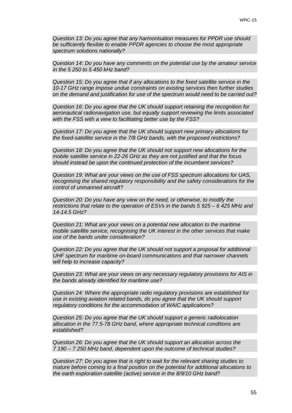*Question 13: Do you agree that any harmonisation measures for PPDR use should be sufficiently flexible to enable PPDR agencies to choose the most appropriate spectrum solutions nationally?*

*Question 14: Do you have any comments on the potential use by the amateur service in the 5 250 to 5 450 kHz band?*

*Question 15: Do you agree that if any allocations to the fixed satellite service in the 10-17 GHz range impose undue constraints on existing services then further studies on the demand and justification for use of the spectrum would need to be carried out?*

*Question 16: Do you agree that the UK should support retaining the recognition for aeronautical radionavigation use, but equally support reviewing the limits associated with the FSS with a view to facilitating better use by the FSS?*

*Question 17: Do you agree that the UK should support new primary allocations for the fixed-satellite service in the 7/8 GHz bands, with the proposed restrictions?*

*Question 18: Do you agree that the UK should not support new allocations for the mobile satellite service in 22-26 GHz as they are not justified and that the focus should instead be upon the continued protection of the incumbent services?*

*Question 19: What are your views on the use of FSS spectrum allocations for UAS, recognising the shared regulatory responsibility and the safety considerations for the control of unmanned aircraft?*

*Question 20: Do you have any view on the need, or otherwise, to modify the restrictions that relate to the operation of ESVs in the bands 5 925 – 6 425 MHz and 14-14.5 GHz?*

*Question 21: What are your views on a potential new allocation to the maritime mobile satellite service, recognising the UK interest in the other services that make use of the bands under consideration?*

*Question 22: Do you agree that the UK should not support a proposal for additional UHF spectrum for maritime on-board communications and that narrower channels will help to increase capacity?*

*Question 23: What are your views on any necessary regulatory provisions for AIS in the bands already identified for maritime use?*

*Question 24: Where the appropriate radio regulatory provisions are established for use in existing aviation related bands, do you agree that the UK should support regulatory conditions for the accommodation of WAIC applications?*

*Question 25: Do you agree that the UK should support a generic radiolocation allocation in the 77.5-78 GHz band, where appropriate technical conditions are established?*

*Question 26: Do you agree that the UK should support an allocation across the 7 190 – 7 250 MHz band, dependent upon the outcome of technical studies?*

*Question 27: Do you agree that is right to wait for the relevant sharing studies to mature before coming to a final position on the potential for additional allocations to the earth exploration-satellite (active) service in the 8/9/10 GHz band?*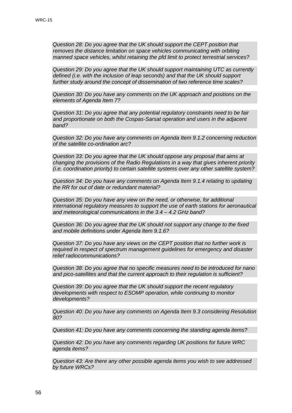*Question 28: Do you agree that the UK should support the CEPT position that removes the distance limitation on space vehicles communicating with orbiting manned space vehicles, whilst retaining the pfd limit to protect terrestrial services?*

*Question 29: Do you agree that the UK should support maintaining UTC as currently defined (i.e. with the inclusion of leap seconds) and that the UK should support further study around the concept of dissemination of two reference time scales?*

*Question 30: Do you have any comments on the UK approach and positions on the elements of Agenda Item 7?*

*Question 31: Do you agree that any potential regulatory constraints need to be fair and proportionate on both the Cospas-Sarsat operation and users in the adjacent band?*

*Question 32: Do you have any comments on Agenda Item 9.1.2 concerning reduction of the satellite co-ordination arc?*

*Question 33: Do you agree that the UK should oppose any proposal that aims at changing the provisions of the Radio Regulations in a way that gives inherent priority (i.e. coordination priority) to certain satellite systems over any other satellite system?*

*Question 34: Do you have any comments on Agenda Item 9.1.4 relating to updating the RR for out of date or redundant material?*

*Question 35: Do you have any view on the need, or otherwise, for additional international regulatory measures to support the use of earth stations for aeronautical and meteorological communications in the 3.4 – 4.2 GHz band?*

*Question 36: Do you agree that the UK should not support any change to the fixed and mobile definitions under Agenda Item 9.1.6?*

*Question 37: Do you have any views on the CEPT position that no further work is required in respect of spectrum management guidelines for emergency and disaster relief radiocommunications?*

*Question 38: Do you agree that no specific measures need to be introduced for nano and pico-satellites and that the current approach to their regulation is sufficient?*

*Question 39: Do you agree that the UK should support the recent regulatory developments with respect to ESOMP operation, while continuing to monitor developments?*

*Question 40: Do you have any comments on Agenda Item 9.3 considering Resolution 80?*

*Question 41: Do you have any comments concerning the standing agenda items?*

*Question 42: Do you have any comments regarding UK positions for future WRC agenda items?*

*Question 43: Are there any other possible agenda items you wish to see addressed by future WRCs?*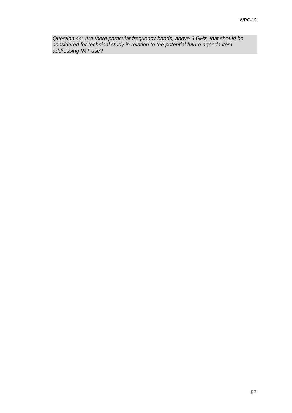*Question 44: Are there particular frequency bands, above 6 GHz, that should be considered for technical study in relation to the potential future agenda item addressing IMT use?*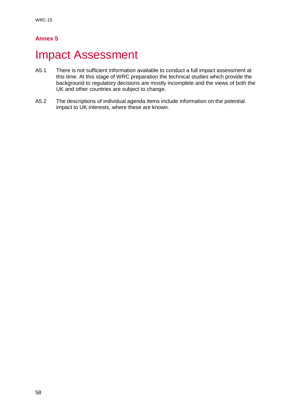## <span id="page-60-0"></span>**Impact Assessment**

- A5.1 There is not sufficient information available to conduct a full impact assessment at this time. At this stage of WRC preparation the technical studies which provide the background to regulatory decisions are mostly incomplete and the views of both the UK and other countries are subject to change.
- A5.2 The descriptions of individual agenda items include information on the potential impact to UK interests, where these are known.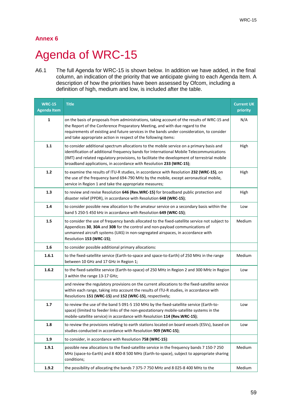## <span id="page-61-0"></span>Agenda of WRC-15

A6.1 The full Agenda for WRC-15 is shown below. In addition we have added, in the final column, an indication of the priority that we anticipate giving to each Agenda Item. A description of how the priorities have been assessed by Ofcom, including a definition of high, medium and low, is included after the table.

| <b>WRC-15</b><br><b>Agenda Item</b> | <b>Title</b>                                                                                                                                                                                                                                                                                                                                                | <b>Current UK</b><br>priority |
|-------------------------------------|-------------------------------------------------------------------------------------------------------------------------------------------------------------------------------------------------------------------------------------------------------------------------------------------------------------------------------------------------------------|-------------------------------|
| 1                                   | on the basis of proposals from administrations, taking account of the results of WRC-15 and<br>the Report of the Conference Preparatory Meeting, and with due regard to the<br>requirements of existing and future services in the bands under consideration, to consider<br>and take appropriate action in respect of the following items:                 | N/A                           |
| 1.1                                 | to consider additional spectrum allocations to the mobile service on a primary basis and<br>identification of additional frequency bands for International Mobile Telecommunications<br>(IMT) and related regulatory provisions, to facilitate the development of terrestrial mobile<br>broadband applications, in accordance with Resolution 233 (WRC-15); | High                          |
| $1.2$                               | to examine the results of ITU-R studies, in accordance with Resolution 232 (WRC-15), on<br>the use of the frequency band 694-790 MHz by the mobile, except aeronautical mobile,<br>service in Region 1 and take the appropriate measures;                                                                                                                   | High                          |
| 1.3                                 | to review and revise Resolution 646 (Rev.WRC-15) for broadband public protection and<br>disaster relief (PPDR), in accordance with Resolution 648 (WRC-15);                                                                                                                                                                                                 | High                          |
| 1.4                                 | to consider possible new allocation to the amateur service on a secondary basis within the<br>band 5 250-5 450 kHz in accordance with Resolution 649 (WRC-15);                                                                                                                                                                                              | Low                           |
| 1.5                                 | to consider the use of frequency bands allocated to the fixed-satellite service not subject to<br>Appendices 30, 30A and 30B for the control and non-payload communications of<br>unmanned aircraft systems (UAS) in non-segregated airspaces, in accordance with<br>Resolution 153 (WRC-15);                                                               | Medium                        |
| 1.6                                 | to consider possible additional primary allocations:                                                                                                                                                                                                                                                                                                        |                               |
| 1.6.1                               | to the fixed-satellite service (Earth-to-space and space-to-Earth) of 250 MHz in the range<br>between 10 GHz and 17 GHz in Region 1;                                                                                                                                                                                                                        | Medium                        |
| 1.6.2                               | to the fixed-satellite service (Earth-to-space) of 250 MHz in Region 2 and 300 MHz in Region<br>3 within the range 13-17 GHz;                                                                                                                                                                                                                               | Low                           |
|                                     | and review the regulatory provisions on the current allocations to the fixed-satellite service<br>within each range, taking into account the results of ITU-R studies, in accordance with<br>Resolutions 151 (WRC-15) and 152 (WRC-15), respectively;                                                                                                       |                               |
| 1.7                                 | to review the use of the band 5 091-5 150 MHz by the fixed-satellite service (Earth-to-<br>space) (limited to feeder links of the non-geostationary mobile-satellite systems in the<br>mobile-satellite service) in accordance with Resolution 114 (Rev.WRC-15);                                                                                            | Low                           |
| 1.8                                 | to review the provisions relating to earth stations located on board vessels (ESVs), based on<br>studies conducted in accordance with Resolution 909 (WRC-15);                                                                                                                                                                                              | Low                           |
| 1.9                                 | to consider, in accordance with Resolution 758 (WRC-15):                                                                                                                                                                                                                                                                                                    |                               |
| 1.9.1                               | possible new allocations to the fixed-satellite service in the frequency bands 7 150-7 250<br>MHz (space-to-Earth) and 8 400-8 500 MHz (Earth-to-space), subject to appropriate sharing<br>conditions;                                                                                                                                                      | Medium                        |
| 1.9.2                               | the possibility of allocating the bands 7 375-7 750 MHz and 8 025-8 400 MHz to the                                                                                                                                                                                                                                                                          | Medium                        |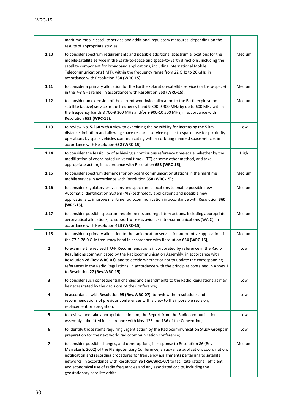|                         | maritime-mobile satellite service and additional regulatory measures, depending on the<br>results of appropriate studies;                                                                                                                                                                                                                                                                                                                                                                       |        |
|-------------------------|-------------------------------------------------------------------------------------------------------------------------------------------------------------------------------------------------------------------------------------------------------------------------------------------------------------------------------------------------------------------------------------------------------------------------------------------------------------------------------------------------|--------|
| 1.10                    | to consider spectrum requirements and possible additional spectrum allocations for the<br>mobile-satellite service in the Earth-to-space and space-to-Earth directions, including the<br>satellite component for broadband applications, including International Mobile<br>Telecommunications (IMT), within the frequency range from 22 GHz to 26 GHz, in<br>accordance with Resolution 234 (WRC-15);                                                                                           | Medium |
| 1.11                    | to consider a primary allocation for the Earth exploration-satellite service (Earth-to-space)<br>in the 7-8 GHz range, in accordance with Resolution 650 (WRC-15);                                                                                                                                                                                                                                                                                                                              | Medium |
| 1.12                    | to consider an extension of the current worldwide allocation to the Earth exploration-<br>satellite (active) service in the frequency band 9 300-9 900 MHz by up to 600 MHz within<br>the frequency bands 8 700-9 300 MHz and/or 9 900-10 500 MHz, in accordance with<br>Resolution 651 (WRC-15);                                                                                                                                                                                               | Medium |
| 1.13                    | to review No. 5.268 with a view to examining the possibility for increasing the 5 km<br>distance limitation and allowing space research service (space-to-space) use for proximity<br>operations by space vehicles communicating with an orbiting manned space vehicle, in<br>accordance with Resolution 652 (WRC-15);                                                                                                                                                                          | Low    |
| 1.14                    | to consider the feasibility of achieving a continuous reference time-scale, whether by the<br>modification of coordinated universal time (UTC) or some other method, and take<br>appropriate action, in accordance with Resolution 653 (WRC-15);                                                                                                                                                                                                                                                | High   |
| 1.15                    | to consider spectrum demands for on-board communication stations in the maritime<br>mobile service in accordance with Resolution 358 (WRC-15);                                                                                                                                                                                                                                                                                                                                                  | Medium |
| 1.16                    | to consider regulatory provisions and spectrum allocations to enable possible new<br>Automatic Identification System (AIS) technology applications and possible new<br>applications to improve maritime radiocommunication in accordance with Resolution 360<br>(WRC-15);                                                                                                                                                                                                                       | Medium |
| 1.17                    | to consider possible spectrum requirements and regulatory actions, including appropriate<br>aeronautical allocations, to support wireless avionics intra-communications (WAIC), in<br>accordance with Resolution 423 (WRC-15);                                                                                                                                                                                                                                                                  | Medium |
| 1.18                    | to consider a primary allocation to the radiolocation service for automotive applications in<br>the 77.5-78.0 GHz frequency band in accordance with Resolution 654 (WRC-15);                                                                                                                                                                                                                                                                                                                    | Medium |
| $\mathbf{2}$            | to examine the revised ITU-R Recommendations incorporated by reference in the Radio<br>Regulations communicated by the Radiocommunication Assembly, in accordance with<br>Resolution 28 (Rev.WRC-03), and to decide whether or not to update the corresponding<br>references in the Radio Regulations, in accordance with the principles contained in Annex 1<br>to Resolution 27 (Rev.WRC-15);                                                                                                 | Low    |
| 3                       | to consider such consequential changes and amendments to the Radio Regulations as may<br>be necessitated by the decisions of the Conference;                                                                                                                                                                                                                                                                                                                                                    | Low    |
| 4                       | in accordance with Resolution 95 (Rev.WRC-07), to review the resolutions and<br>recommendations of previous conferences with a view to their possible revision,<br>replacement or abrogation;                                                                                                                                                                                                                                                                                                   | Low    |
| 5                       | to review, and take appropriate action on, the Report from the Radiocommunication<br>Assembly submitted in accordance with Nos. 135 and 136 of the Convention;                                                                                                                                                                                                                                                                                                                                  | Low    |
| 6                       | to identify those items requiring urgent action by the Radiocommunication Study Groups in<br>preparation for the next world radiocommunication conference;                                                                                                                                                                                                                                                                                                                                      | Low    |
| $\overline{\mathbf{z}}$ | to consider possible changes, and other options, in response to Resolution 86 (Rev.<br>Marrakesh, 2002) of the Plenipotentiary Conference, an advance publication, coordination,<br>notification and recording procedures for frequency assignments pertaining to satellite<br>networks, in accordance with Resolution 86 (Rev.WRC-07) to facilitate rational, efficient,<br>and economical use of radio frequencies and any associated orbits, including the<br>geostationary-satellite orbit; | Medium |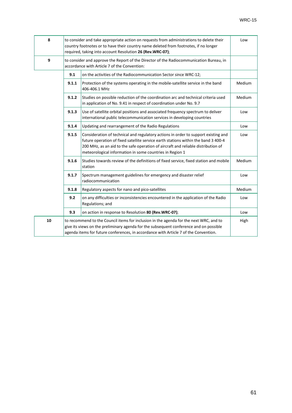| 8  |       | to consider and take appropriate action on requests from administrations to delete their<br>country footnotes or to have their country name deleted from footnotes, if no longer<br>required, taking into account Resolution 26 (Rev.WRC-07);                                                                             | Low    |
|----|-------|---------------------------------------------------------------------------------------------------------------------------------------------------------------------------------------------------------------------------------------------------------------------------------------------------------------------------|--------|
| 9  |       | to consider and approve the Report of the Director of the Radiocommunication Bureau, in<br>accordance with Article 7 of the Convention:                                                                                                                                                                                   |        |
|    | 9.1   | on the activities of the Radiocommunication Sector since WRC-12;                                                                                                                                                                                                                                                          |        |
|    | 9.1.1 | Protection of the systems operating in the mobile-satellite service in the band<br>406-406.1 MHz                                                                                                                                                                                                                          | Medium |
|    | 9.1.2 | Studies on possible reduction of the coordination arc and technical criteria used<br>in application of No. 9.41 in respect of coordination under No. 9.7                                                                                                                                                                  | Medium |
|    | 9.1.3 | Use of satellite orbital positions and associated frequency spectrum to deliver<br>international public telecommunication services in developing countries                                                                                                                                                                | Low    |
|    | 9.1.4 | Updating and rearrangement of the Radio Regulations                                                                                                                                                                                                                                                                       | Low    |
|    | 9.1.5 | Consideration of technical and regulatory actions in order to support existing and<br>future operation of fixed satellite service earth stations within the band 3 400-4<br>200 MHz, as an aid to the safe operation of aircraft and reliable distribution of<br>meteorological information in some countries in Region 1 | Low    |
|    | 9.1.6 | Studies towards review of the definitions of fixed service, fixed station and mobile<br>station                                                                                                                                                                                                                           | Medium |
|    | 9.1.7 | Spectrum management guidelines for emergency and disaster relief<br>radiocommunication                                                                                                                                                                                                                                    | Low    |
|    | 9.1.8 | Regulatory aspects for nano and pico-satellites                                                                                                                                                                                                                                                                           | Medium |
|    | 9.2   | on any difficulties or inconsistencies encountered in the application of the Radio<br>Regulations; and                                                                                                                                                                                                                    | Low    |
|    | 9.3   | on action in response to Resolution 80 (Rev.WRC-07);                                                                                                                                                                                                                                                                      | Low    |
| 10 |       | to recommend to the Council items for inclusion in the agenda for the next WRC, and to<br>give its views on the preliminary agenda for the subsequent conference and on possible<br>agenda items for future conferences, in accordance with Article 7 of the Convention.                                                  | High   |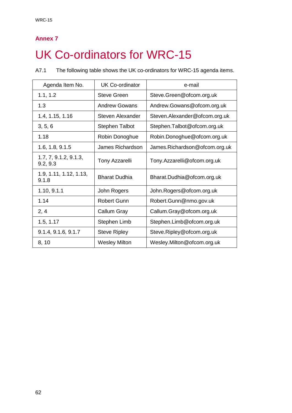# <span id="page-64-0"></span>UK Co-ordinators for WRC-15

A7.1 The following table shows the UK co-ordinators for WRC-15 agenda items.

| Agenda Item No.                   | <b>UK Co-ordinator</b> | e-mail                         |
|-----------------------------------|------------------------|--------------------------------|
| 1.1, 1.2                          | <b>Steve Green</b>     | Steve.Green@ofcom.org.uk       |
| 1.3                               | Andrew Gowans          | Andrew.Gowans@ofcom.org.uk     |
| 1.4, 1.15, 1.16                   | Steven Alexander       | Steven. Alexander@ofcom.org.uk |
| 3, 5, 6                           | <b>Stephen Talbot</b>  | Stephen. Talbot@ofcom.org.uk   |
| 1.18                              | Robin Donoghue         | Robin.Donoghue@ofcom.org.uk    |
| 1.6, 1.8, 9.1.5                   | James Richardson       | James.Richardson@ofcom.org.uk  |
| 1.7, 7, 9.1.2, 9.1.3,<br>9.2, 9.3 | <b>Tony Azzarelli</b>  | Tony.Azzarelli@ofcom.org.uk    |
| 1.9, 1.11, 1.12, 1.13,<br>9.1.8   | <b>Bharat Dudhia</b>   | Bharat.Dudhia@ofcom.org.uk     |
| 1.10, 9.1.1                       | John Rogers            | John.Rogers@ofcom.org.uk       |
| 1.14                              | <b>Robert Gunn</b>     | Robert.Gunn@nmo.gov.uk         |
| 2, 4                              | Callum Gray            | Callum.Gray@ofcom.org.uk       |
| 1.5, 1.17                         | Stephen Limb           | Stephen.Limb@ofcom.org.uk      |
| 9.1.4, 9.1.6, 9.1.7               | <b>Steve Ripley</b>    | Steve.Ripley@ofcom.org.uk      |
| 8, 10                             | <b>Wesley Milton</b>   | Wesley.Milton@ofcom.org.uk     |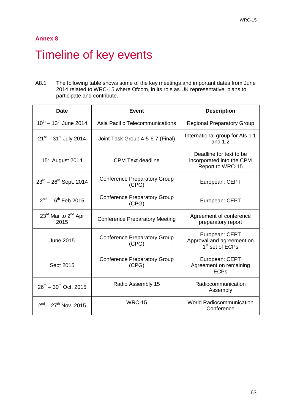## <span id="page-65-0"></span>Timeline of key events

A8.1 The following table shows some of the key meetings and important dates from June 2014 related to WRC-15 where Ofcom, in its role as UK representative, plans to participate and contribute.

| <b>Date</b>                                         | <b>Event</b>                                 | <b>Description</b>                                                         |
|-----------------------------------------------------|----------------------------------------------|----------------------------------------------------------------------------|
| $10^{th} - 13^{th}$ June 2014                       | Asia Pacific Telecommunications              | <b>Regional Preparatory Group</b>                                          |
| $21^{st} - 31^{st}$ July 2014                       | Joint Task Group 4-5-6-7 (Final)             | International group for Als 1.1<br>and $1.2$                               |
| 15 <sup>th</sup> August 2014                        | CPM Text deadline                            | Deadline for text to be<br>incorporated into the CPM<br>Report to WRC-15   |
| $23^{rd} - 26^{th}$ Sept. 2014                      | <b>Conference Preparatory Group</b><br>(CPG) | European: CEPT                                                             |
| $2^{nd} - 6^{th}$ Feb 2015                          | <b>Conference Preparatory Group</b><br>(CPG) | European: CEPT                                                             |
| 23 <sup>rd</sup> Mar to 2 <sup>nd</sup> Apr<br>2015 | <b>Conference Preparatory Meeting</b>        | Agreement of conference<br>preparatory report                              |
| <b>June 2015</b>                                    | <b>Conference Preparatory Group</b><br>(CPG) | European: CEPT<br>Approval and agreement on<br>1 <sup>st</sup> set of ECPs |
| Sept 2015                                           | <b>Conference Preparatory Group</b><br>(CPG) | European: CEPT<br>Agreement on remaining<br><b>ECPs</b>                    |
| $26^{th} - 30^{th}$ Oct. 2015                       | Radio Assembly 15                            | Radiocommunication<br>Assembly                                             |
| $2^{nd} - 27^{th}$ Nov. 2015                        | <b>WRC-15</b>                                | <b>World Radiocommunication</b><br>Conference                              |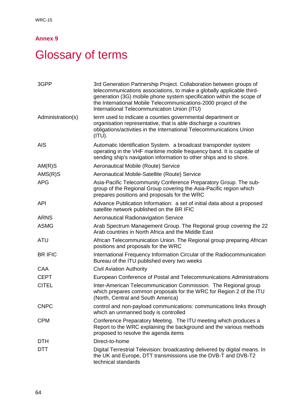# <span id="page-66-0"></span>**Glossary of terms**

| 3GPP              | 3rd Generation Partnership Project. Collaboration between groups of<br>telecommunications associations, to make a globally applicable third-<br>generation (3G) mobile phone system specification within the scope of<br>the International Mobile Telecommunications-2000 project of the<br>International Telecommunication Union (ITU) |
|-------------------|-----------------------------------------------------------------------------------------------------------------------------------------------------------------------------------------------------------------------------------------------------------------------------------------------------------------------------------------|
| Administration(s) | term used to indicate a counties governmental department or<br>organisation representative, that is able discharge a countries<br>obligations/activities in the International Telecommunications Union<br>(ITU).                                                                                                                        |
| <b>AIS</b>        | Automatic Identification System. a broadcast transponder system<br>operating in the VHF maritime mobile frequency band. It is capable of<br>sending ship's navigation information to other ships and to shore.                                                                                                                          |
| AM(R)S            | Aeronautical Mobile (Route) Service                                                                                                                                                                                                                                                                                                     |
| $AMS(R)$ S        | Aeronautical Mobile-Satellite (Route) Service                                                                                                                                                                                                                                                                                           |
| <b>APG</b>        | Asia-Pacific Telecommunity Conference Preparatory Group. The sub-<br>group of the Regional Group covering the Asia-Pacific region which<br>prepares positions and proposals for the WRC                                                                                                                                                 |
| <b>API</b>        | Advance Publication Information: a set of initial data about a proposed<br>satellite network published on the BR IFIC                                                                                                                                                                                                                   |
| <b>ARNS</b>       | <b>Aeronautical Radionavigation Service</b>                                                                                                                                                                                                                                                                                             |
| <b>ASMG</b>       | Arab Spectrum Management Group. The Regional group covering the 22<br>Arab countries in North Africa and the Middle East                                                                                                                                                                                                                |
| <b>ATU</b>        | African Telecommunication Union. The Regional group preparing African<br>positions and proposals for the WRC                                                                                                                                                                                                                            |
| <b>BR IFIC</b>    | International Frequency Information Circular of the Radiocommunication<br>Bureau of the ITU published every two weeks                                                                                                                                                                                                                   |
| CAA               | <b>Civil Aviation Authority</b>                                                                                                                                                                                                                                                                                                         |
| <b>CEPT</b>       | European Conference of Postal and Telecommunications Administrations                                                                                                                                                                                                                                                                    |
| <b>CITEL</b>      | Inter-American Telecommunication Commission. The Regional group<br>which prepares common proposals for the WRC for Region 2 of the ITU<br>(North, Central and South America)                                                                                                                                                            |
| <b>CNPC</b>       | control and non-payload communications: communications links through<br>which an unmanned body is controlled                                                                                                                                                                                                                            |
| <b>CPM</b>        | Conference Preparatory Meeting. The ITU meeting which produces a<br>Report to the WRC explaining the background and the various methods<br>proposed to resolve the agenda items                                                                                                                                                         |
| <b>DTH</b>        | Direct-to-home                                                                                                                                                                                                                                                                                                                          |
| DTT               | Digital Terrestrial Television: broadcasting delivered by digital means. In<br>the UK and Europe, DTT transmissions use the DVB-T and DVB-T2<br>technical standards                                                                                                                                                                     |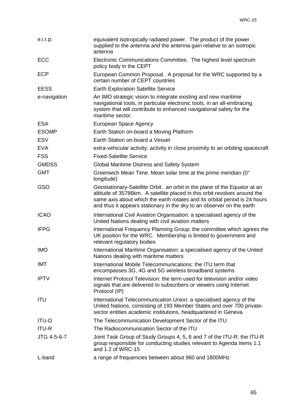| e.i.r.p.     | equivalent isotropically radiated power. The product of the power<br>supplied to the antenna and the antenna gain relative to an isotropic<br>antenna                                                                                                                                                         |
|--------------|---------------------------------------------------------------------------------------------------------------------------------------------------------------------------------------------------------------------------------------------------------------------------------------------------------------|
| <b>ECC</b>   | Electronic Communications Committee. The highest level spectrum<br>policy body in the CEPT                                                                                                                                                                                                                    |
| <b>ECP</b>   | European Common Proposal. A proposal for the WRC supported by a<br>certain number of CEPT countries                                                                                                                                                                                                           |
| <b>EESS</b>  | <b>Earth Exploration Satellite Service</b>                                                                                                                                                                                                                                                                    |
| e-navigation | An IMO strategic vision to integrate existing and new maritime<br>navigational tools, in particular electronic tools, in an all-embracing<br>system that will contribute to enhanced navigational safety for the<br>maritime sector.                                                                          |
| <b>ESA</b>   | European Space Agency                                                                                                                                                                                                                                                                                         |
| <b>ESOMP</b> | Earth Station on-board a Moving Platform                                                                                                                                                                                                                                                                      |
| <b>ESV</b>   | Earth Station on-board a Vessel                                                                                                                                                                                                                                                                               |
| <b>EVA</b>   | extra-vehicular activity: activity in close proximity to an orbiting spacecraft                                                                                                                                                                                                                               |
| <b>FSS</b>   | <b>Fixed-Satellite Service</b>                                                                                                                                                                                                                                                                                |
| <b>GMDSS</b> | Global Maritime Distress and Safety System                                                                                                                                                                                                                                                                    |
| <b>GMT</b>   | Greenwich Mean Time. Mean solar time at the prime meridian (0°<br>longitude)                                                                                                                                                                                                                                  |
| GSO          | Geostationary-Satellite Orbit. an orbit in the plane of the Equator at an<br>altitude of 35786km. A satellite placed in this orbit revolves around the<br>same axis about which the earth rotates and its orbital period is 24 hours<br>and thus it appears stationary in the sky to an observer on the earth |
| <b>ICAO</b>  | International Civil Aviation Organisation: a specialised agency of the<br>United Nations dealing with civil aviation matters                                                                                                                                                                                  |
| <b>IFPG</b>  | International Frequency Planning Group: the committee which agrees the<br>UK position for the WRC. Membership is limited to government and<br>relevant regulatory bodies                                                                                                                                      |
| <b>IMO</b>   | International Maritime Organisation: a specialised agency of the United<br>Nations dealing with maritime matters                                                                                                                                                                                              |
| <b>IMT</b>   | International Mobile Telecommunications: the ITU term that<br>encompasses 3G, 4G and 5G wireless broadband systems                                                                                                                                                                                            |
| <b>IPTV</b>  | Internet Protocol Television: the term used for television and/or video<br>signals that are delivered to subscribers or viewers using Internet<br>Protocol (IP)                                                                                                                                               |
| <b>ITU</b>   | International Telecommunication Union: a specialised agency of the<br>United Nations, consisting of 193 Member States and over 700 private-<br>sector entities academic institutions, headquartered in Geneva                                                                                                 |
| <b>ITU-D</b> | The Telecommunication Development Sector of the ITU                                                                                                                                                                                                                                                           |
| <b>ITU-R</b> | The Radiocommunication Sector of the ITU                                                                                                                                                                                                                                                                      |
| JTG 4-5-6-7  | Joint Task Group of Study Groups 4, 5, 6 and 7 of the ITU-R: the ITU-R<br>group responsible for conducting studies relevant to Agenda Items 1.1<br>and 1.2 of WRC-15                                                                                                                                          |
| L-band       | a range of frequencies between about 960 and 1800MHz                                                                                                                                                                                                                                                          |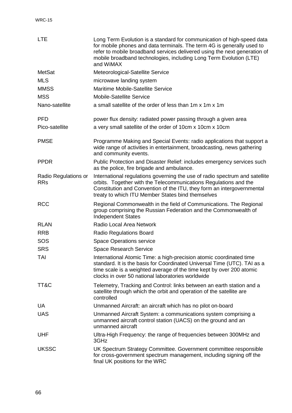| <b>LTE</b>                         | Long Term Evolution is a standard for communication of high-speed data<br>for mobile phones and data terminals. The term 4G is generally used to<br>refer to mobile broadband services delivered using the next generation of<br>mobile broadband technologies, including Long Term Evolution (LTE)<br>and WiMAX |
|------------------------------------|------------------------------------------------------------------------------------------------------------------------------------------------------------------------------------------------------------------------------------------------------------------------------------------------------------------|
| <b>MetSat</b>                      | Meteorological-Satellite Service                                                                                                                                                                                                                                                                                 |
| <b>MLS</b>                         | microwave landing system                                                                                                                                                                                                                                                                                         |
| <b>MMSS</b>                        | Maritime Mobile-Satellite Service                                                                                                                                                                                                                                                                                |
| <b>MSS</b>                         | <b>Mobile-Satellite Service</b>                                                                                                                                                                                                                                                                                  |
| Nano-satellite                     | a small satellite of the order of less than 1m x 1m x 1m                                                                                                                                                                                                                                                         |
| <b>PFD</b>                         | power flux density: radiated power passing through a given area                                                                                                                                                                                                                                                  |
| Pico-satellite                     | a very small satellite of the order of 10cm x 10cm x 10cm                                                                                                                                                                                                                                                        |
| <b>PMSE</b>                        | Programme Making and Special Events: radio applications that support a<br>wide range of activities in entertainment, broadcasting, news gathering<br>and community events.                                                                                                                                       |
| <b>PPDR</b>                        | Public Protection and Disaster Relief: includes emergency services such<br>as the police, fire brigade and ambulance.                                                                                                                                                                                            |
| Radio Regulations or<br><b>RRs</b> | International regulations governing the use of radio spectrum and satellite<br>orbits. Together with the Telecommunications Regulations and the<br>Constitution and Convention of the ITU, they form an intergovernmental<br>treaty to which ITU Member States bind themselves                                   |
| <b>RCC</b>                         | Regional Commonwealth in the field of Communications. The Regional<br>group comprising the Russian Federation and the Commonwealth of<br><b>Independent States</b>                                                                                                                                               |
| <b>RLAN</b>                        | Radio Local Area Network                                                                                                                                                                                                                                                                                         |
| <b>RRB</b>                         | <b>Radio Regulations Board</b>                                                                                                                                                                                                                                                                                   |
| SOS                                | <b>Space Operations service</b>                                                                                                                                                                                                                                                                                  |
| <b>SRS</b>                         | Space Research Service                                                                                                                                                                                                                                                                                           |
| TAI                                | International Atomic Time: a high-precision atomic coordinated time<br>standard. It is the basis for Coordinated Universal Time (UTC). TAI as a<br>time scale is a weighted average of the time kept by over 200 atomic<br>clocks in over 50 national laboratories worldwide                                     |
| TT&C                               | Telemetry, Tracking and Control: links between an earth station and a<br>satellite through which the orbit and operation of the satellite are<br>controlled                                                                                                                                                      |
| <b>UA</b>                          | Unmanned Aircraft: an aircraft which has no pilot on-board                                                                                                                                                                                                                                                       |
| <b>UAS</b>                         | Unmanned Aircraft System: a communications system comprising a<br>unmanned aircraft control station (UACS) on the ground and an<br>unmanned aircraft                                                                                                                                                             |
| <b>UHF</b>                         | Ultra-High Frequency: the range of frequencies between 300MHz and<br>3GHz                                                                                                                                                                                                                                        |
| <b>UKSSC</b>                       | UK Spectrum Strategy Committee. Government committee responsible<br>for cross-government spectrum management, including signing off the<br>final UK positions for the WRC                                                                                                                                        |